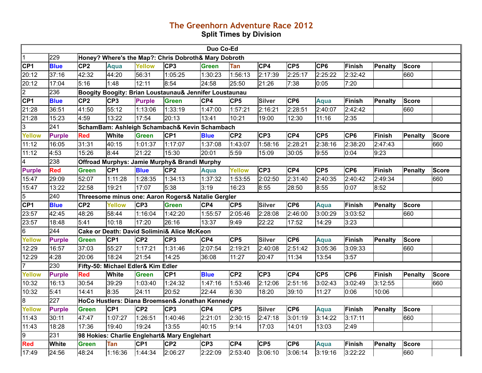## **The Greenhorn Adventure Race 2012 Split Times by Division**

|                          |               |                 |                 |                                    |                                                        | Duo Co-Ed       |                 |                 |                 |                 |                 |                |                |              |
|--------------------------|---------------|-----------------|-----------------|------------------------------------|--------------------------------------------------------|-----------------|-----------------|-----------------|-----------------|-----------------|-----------------|----------------|----------------|--------------|
| $\overline{1}$           | 229           |                 |                 |                                    | Honey? Where's the Map?: Chris Dobroth& Mary Dobroth   |                 |                 |                 |                 |                 |                 |                |                |              |
| CP1                      | <b>Blue</b>   | CP <sub>2</sub> | <b>Aqua</b>     | <b>Yellow</b>                      | CP <sub>3</sub>                                        | <b>Green</b>    | Tan             | CP4             | CP <sub>5</sub> | CP <sub>6</sub> | Finish          | Penalty        | <b>Score</b>   |              |
| 20:12                    | 37:16         | 42:32           | 44:20           | 56:31                              | 1:05:25                                                | 1:30:23         | 1:56:13         | 2:17:39         | 2:25:17         | 2:25:22         | 2:32:42         |                | 660            |              |
| 20:12                    | 17:04         | 5:16            | 1:48            | 12:11                              | 8:54                                                   | 24:58           | 25:50           | 21:26           | 7:38            | 0:05            | 7:20            |                |                |              |
| $\overline{2}$           | 236           |                 |                 |                                    | Boogity Boogity: Brian Loustaunau& Jennifer Loustaunau |                 |                 |                 |                 |                 |                 |                |                |              |
| CP <sub>1</sub>          | <b>Blue</b>   | CP <sub>2</sub> | CP <sub>3</sub> | <b>Purple</b>                      | <b>Green</b>                                           | CP4             | CP <sub>5</sub> | <b>Silver</b>   | CP <sub>6</sub> | <b>Aqua</b>     | <b>Finish</b>   | Penalty        | <b>Score</b>   |              |
| 21:28                    | 36:51         | 41:50           | 55:12           | 1:13:06                            | 1:33:19                                                | 1:47:00         | 1:57:21         | 2:16:21         | 2:28:51         | 2:40:07         | 2:42:42         |                | 660            |              |
| 21:28                    | 15:23         | 4:59            | 13:22           | 17:54                              | 20:13                                                  | 13:41           | 10:21           | 19:00           | 12:30           | 11:16           | 2:35            |                |                |              |
| $\overline{3}$           | 241           |                 |                 |                                    | SchamBam: Ashleigh Schambach& Kevin Schambach          |                 |                 |                 |                 |                 |                 |                |                |              |
| <b>Yellow</b>            | <b>Purple</b> | <b>Red</b>      | White           | <b>Green</b>                       | CP <sub>1</sub>                                        | <b>Blue</b>     | CP <sub>2</sub> | CP <sub>3</sub> | CP4             | CP <sub>5</sub> | CP <sub>6</sub> | Finish         | <b>Penalty</b> | <b>Score</b> |
| 11:12                    | 16:05         | 31:31           | 40:15           | 1:01:37                            | 1:17:07                                                | 1:37:08         | 1:43:07         | 1:58:16         | 2:28:21         | 2:38:16         | 2:38:20         | 2:47:43        |                | 660          |
| 11:12                    | 4:53          | 15:26           | 8:44            | 21:22                              | 15:30                                                  | 20:01           | 5:59            | 15:09           | 30:05           | 9:55            | 0:04            | 9:23           |                |              |
| $\overline{\mathcal{A}}$ | 238           |                 |                 |                                    | Offroad Murphys: Jamie Murphy& Brandi Murphy           |                 |                 |                 |                 |                 |                 |                |                |              |
| <b>Purple</b>            | Red           | <b>Green</b>    | CP <sub>1</sub> | <b>Blue</b>                        | CP <sub>2</sub>                                        | <b>Aqua</b>     | Yellow          | CP <sub>3</sub> | CP4             | CP <sub>5</sub> | CP <sub>6</sub> | Finish         | <b>Penalty</b> | <b>Score</b> |
| 15:47                    | 29:09         | 52:07           | 1:11:28         | 1:28:35                            | 1:34:13                                                | 1:37:32         | 1:53:55         | 2:02:50         | 2:31:40         | 2:40:35         | 2:40:42         | 2:49:34        |                | 660          |
| 15:47                    | 13:22         | 22:58           | 19:21           | 17:07                              | 5:38                                                   | 3:19            | 16:23           | 8:55            | 28:50           | 8:55            | 0:07            | 8:52           |                |              |
| 5                        | 240           |                 |                 |                                    | Threesome minus one: Aaron Rogers& Natalie Gergler     |                 |                 |                 |                 |                 |                 |                |                |              |
| CF1                      | <b>Blue</b>   | CP <sub>2</sub> | Yellow          | CP <sub>3</sub>                    | <b>Green</b>                                           | CP4             | CP <sub>5</sub> | <b>Silver</b>   | CP <sub>6</sub> | Aqua            | Finish          | Penalty        | <b>Score</b>   |              |
| 23:57                    | 42:45         | 48:26           | 58:44           | 1:16:04                            | 1:42:20                                                | 1:55:57         | 2:05:46         | 2:28:08         | 2:46:00         | 3:00:29         | 3:03:52         |                | 660            |              |
| 23:57                    | 18:48         | 5:41            | 10:18           | 17:20                              | 26:16                                                  | 13:37           | 9:49            | 22:22           | 17:52           | 14:29           | 3:23            |                |                |              |
| 6                        | 244           |                 |                 |                                    | Cake or Death: David Solimini& Alice McKeon            |                 |                 |                 |                 |                 |                 |                |                |              |
| <b>Yellow</b>            | <b>Purple</b> | <b>Green</b>    | CP <sub>1</sub> | CP <sub>2</sub>                    | CP <sub>3</sub>                                        | CP4             | CP <sub>5</sub> | <b>Silver</b>   | CP <sub>6</sub> | <b>Aqua</b>     | Finish          | Penalty        | <b>Score</b>   |              |
| 12:29                    | 16:57         | 37:03           | 55:27           | 1:17:21                            | 1:31:46                                                | 2:07:54         | 2:19:21         | 2:40:08         | 2:51:42         | 3:05:36         | 3:09:33         |                | 660            |              |
| 12:29                    | 4:28          | 20:06           | 18:24           | 21:54                              | 14:25                                                  | 36:08           | 11:27           | 20:47           | 11:34           | 13:54           | 3:57            |                |                |              |
| $\overline{7}$           | 230           |                 |                 | Fifty-50: Michael Edler& Kim Edler |                                                        |                 |                 |                 |                 |                 |                 |                |                |              |
| <b>Yellow</b>            | <b>Purple</b> | <b>Red</b>      | White           | <b>Green</b>                       | CP <sub>1</sub>                                        | <b>Blue</b>     | CP <sub>2</sub> | CP3             | CP4             | CP5             | CP <sub>6</sub> | Finish         | <b>Penalty</b> | <b>Score</b> |
| 10:32                    | 16:13         | 30:54           | 39:29           | 1:03:40                            | 1:24:32                                                | 1:47:16         | 1:53:46         | 2:12:06         | 2:51:16         | 3:02:43         | 3:02:49         | 3:12:55        |                | 660          |
| 10:32                    | 5:41          | 14:41           | 8:35            | 24:11                              | 20:52                                                  | 22:44           | 6:30            | 18:20           | 39:10           | 11:27           | 0:06            | 10:06          |                |              |
| $8\,$                    | 227           |                 |                 |                                    | HoCo Hustlers: Diana Broemsen& Jonathan Kennedy        |                 |                 |                 |                 |                 |                 |                |                |              |
| Yellow                   | <b>Purple</b> | <b>Green</b>    | CP <sub>1</sub> | CP <sub>2</sub>                    | CP <sub>3</sub>                                        | CP4             | CP <sub>5</sub> | <b>Silver</b>   | CP <sub>6</sub> | <b>Aqua</b>     | Finish          | Penalty        | <b>Score</b>   |              |
| 11:43                    | 30:11         | 47:47           | 1:07:27         | 1:26:51                            | 1:40:46                                                | 2:21:01         | 2:30:15         | 2:47:18         | 3:01:19         | 3:14:22         | 3:17:11         |                | 660            |              |
| 11:43                    | 18:28         | 17:36           | 19:40           | 19:24                              | 13:55                                                  | 40:15           | 9:14            | 17:03           | 14:01           | 13:03           | 2:49            |                |                |              |
| l9                       | 231           |                 |                 |                                    | 98 Hokies: Charlie Englehart& Mary Englehart           |                 |                 |                 |                 |                 |                 |                |                |              |
| <b>Red</b>               | White         | <b>Green</b>    | Tan             | CP <sub>1</sub>                    | CP <sub>2</sub>                                        | CP <sub>3</sub> | CP4             | CP <sub>5</sub> | CP <sub>6</sub> | Aqua            | Finish          | <b>Penalty</b> | <b>Score</b>   |              |
| 17:49                    | 24:56         | 48:24           | 1:16:36         | 1:44:34                            | 2:06:27                                                | 2:22:09         | 2:53:40         | 3:06:10         | 3:06:14         | 3:19:16         | 3:22:22         |                | 660            |              |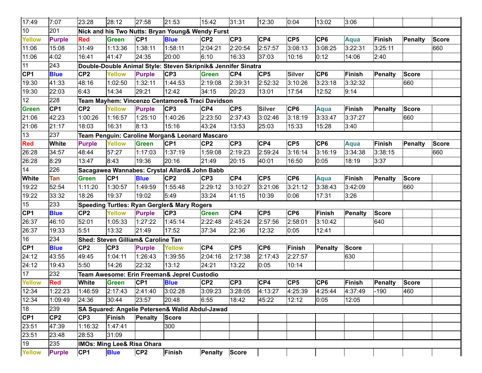| 17:49           | 7:07            | 23:28           | 28:12                                 | 27:58           | 21:53                                                         | 15:42           | 31:31           | 12:30           | 0:04            | 13:02           | 3:06           |                |                |              |
|-----------------|-----------------|-----------------|---------------------------------------|-----------------|---------------------------------------------------------------|-----------------|-----------------|-----------------|-----------------|-----------------|----------------|----------------|----------------|--------------|
| 10              | 201             |                 |                                       |                 | Nick and his Two Nutts: Bryan Young& Wendy Furst              |                 |                 |                 |                 |                 |                |                |                |              |
| <b>Yellow</b>   | <b>Purple</b>   | <b>Red</b>      | <b>Green</b>                          | CP <sub>1</sub> | <b>Blue</b>                                                   | CP <sub>2</sub> | CP <sub>3</sub> | CP4             | CP <sub>5</sub> | CP <sub>6</sub> | <b>Aqua</b>    | Finish         | <b>Penalty</b> | <b>Score</b> |
| 11:06           | 15:08           | 31:49           | 1:13:36                               | 1:38:11         | 1:58:11                                                       | 2:04:21         | 2:20:54         | 2:57:57         | 3:08:13         | 3:08:25         | 3:22:31        | 3:25:11        |                | 660          |
| 11:06           | 4:02            | 16:41           | 41:47                                 | 24:35           | 20:00                                                         | 6:10            | 16:33           | 37:03           | 10:16           | 0:12            | 14:06          | 2:40           |                |              |
| 11              | 243             |                 |                                       |                 | Double-Double Animal Style: Steven Skripnik& Jennifer Sinatra |                 |                 |                 |                 |                 |                |                |                |              |
| CP <sub>1</sub> | <b>Blue</b>     | CP <sub>2</sub> | <b>Yellow</b>                         | <b>Purple</b>   | CP <sub>3</sub>                                               | <b>Green</b>    | CP4             | CP <sub>5</sub> | <b>Silver</b>   | CP <sub>6</sub> | <b>Finish</b>  | Penalty        | <b>Score</b>   |              |
| 19:30           | 41:33           | 48:16           | 1:02:50                               | 1:32:11         | 1:44:53                                                       | 2:19:08         | 2:39:31         | 2:52:32         | 3:10:26         | 3:23:18         | 3:32:32        |                | 660            |              |
| 19:30           | 22:03           | 6:43            | 14:34                                 | 29:21           | 12:42                                                         | 34:15           | 20:23           | 13:01           | 17:54           | 12:52           | 9:14           |                |                |              |
| 12              | 228             |                 |                                       |                 | Team Mayhem: Vincenzo Centamore& Traci Davidson               |                 |                 |                 |                 |                 |                |                |                |              |
| <b>Green</b>    | CP <sub>1</sub> | CP <sub>2</sub> | <b>Yellow</b>                         | <b>Purple</b>   | CP <sub>3</sub>                                               | CP4             | CP <sub>5</sub> | <b>Silver</b>   | CP <sub>6</sub> | <b>Aqua</b>     | <b>Finish</b>  | Penalty        | <b>Score</b>   |              |
| 21:06           | 42:23           | 1:00:26         | 1:16:57                               | 1:25:10         | 1:40:26                                                       | 2:23:50         | 2:37:43         | 3:02:46         | 3:18:19         | 3:33:47         | 3:37:27        |                | 660            |              |
| 21:06           | 21:17           | 18:03           | 16:31                                 | 8:13            | 15:16                                                         | 43:24           | 13:53           | 25:03           | 15:33           | 15:28           | 3:40           |                |                |              |
| 13              | 237             |                 |                                       |                 | Team Penguin: Caroline Morgan& Leonard Mascaro                |                 |                 |                 |                 |                 |                |                |                |              |
| <b>Red</b>      | <b>White</b>    | <b>Purple</b>   | <b>Yellow</b>                         | <b>Green</b>    | CP <sub>1</sub>                                               | CP <sub>2</sub> | CP <sub>3</sub> | CP4             | CP <sub>5</sub> | CP <sub>6</sub> | <b>Aqua</b>    | Finish         | Penalty        | <b>Score</b> |
| 26:28           | 34:57           | 48:44           | 57:27                                 | 1:17:03         | 1:37:19                                                       | 1:59:08         | 2:19:23         | 2:59:24         | 3:16:14         | 3:16:19         | 3:34:38        | 3:38:15        |                | 660          |
| 26:28           | 8:29            | 13:47           | 8:43                                  | 19:36           | 20:16                                                         | 21:49           | 20:15           | 40:01           | 16:50           | 0:05            | 18:19          | 3:37           |                |              |
| 14              | 226             |                 |                                       |                 | Sacagawea Wannabes: Crystal Allard& John Babb                 |                 |                 |                 |                 |                 |                |                |                |              |
| <b>White</b>    | Tan             | <b>Green</b>    | CP <sub>1</sub>                       | <b>Blue</b>     | CP <sub>2</sub>                                               | CP <sub>3</sub> | CP4             | CP <sub>5</sub> | CP <sub>6</sub> | <b>Aqua</b>     | <b>Finish</b>  | <b>Penalty</b> | <b>Score</b>   |              |
| 19:22           | 52:54           | 1:11:20         | 1:30:57                               | 1:49:59         | 1:55:48                                                       | 2:29:12         | 3:10:27         | 3:21:06         | 3:21:12         | 3:38:43         | 3:42:09        |                | 660            |              |
| 19:22           | 33:32           | 18:26           | 19:37                                 | 19:02           | 5:49                                                          | 33:24           | 41:15           | 10:39           | 0:06            | 17:31           | 3:26           |                |                |              |
| 15              | 233             |                 |                                       |                 | <b>Speeding Turtles: Ryan Gergler&amp; Mary Rogers</b>        |                 |                 |                 |                 |                 |                |                |                |              |
| CP <sub>1</sub> | <b>Blue</b>     | CP <sub>2</sub> | <b>Yellow</b>                         | <b>Purple</b>   | CP <sub>3</sub>                                               | <b>Green</b>    | CP4             | CP <sub>5</sub> | CP <sub>6</sub> | <b>Finish</b>   | <b>Penalty</b> | <b>Score</b>   |                |              |
| 26:37           | 46:10           | 52:01           | 1:05:33                               | 1:27:22         | 1:45:14                                                       | 2:22:48         | 2:45:24         | 2:57:56         | 2:58:01         | 3:10:42         |                | 640            |                |              |
| 26:37           | 19:33           | 5:51            | 13:32                                 | 21:49           | 17:52                                                         | 37:34           | 22:36           | 12:32           | 0:05            | 12:41           |                |                |                |              |
| 16              | 234             |                 | Shed: Steven Gilliam& Caroline Tan    |                 |                                                               |                 |                 |                 |                 |                 |                |                |                |              |
| CP <sub>1</sub> | <b>Blue</b>     | CP <sub>2</sub> | CP <sub>3</sub>                       | <b>Purple</b>   | <b>Yellow</b>                                                 | CP4             | CP <sub>5</sub> | CP <sub>6</sub> | <b>Finish</b>   | Penalty         | <b>Score</b>   |                |                |              |
| 24:12           | 43:55           | 49:45           | 1:04:11                               | 1:26:43         | 1:39:55                                                       | 2:04:16         | 2:17:38         | 2:17:43         | 2:27:57         |                 | 630            |                |                |              |
| 24:12           | 19:43           | 5:50            | 14:26                                 | 22:32           | 13:12                                                         | 24:21           | 13:22           | 0:05            | 10:14           |                 |                |                |                |              |
| 17              | 232             |                 |                                       |                 | Team Awesome: Erin Freeman& Jeprel Custodio                   |                 |                 |                 |                 |                 |                |                |                |              |
| <b>Yellow</b>   | <b>Red</b>      | <b>White</b>    | <b>Green</b>                          | CP <sub>1</sub> | <b>Blue</b>                                                   | CP <sub>2</sub> | CP <sub>3</sub> | CP4             | CP <sub>5</sub> | CP <sub>6</sub> | <b>Finish</b>  | <b>Penalty</b> | <b>Score</b>   |              |
| 12:34           | 1:22:23         | <b>1:46:59</b>  | 2:17:43                               | 2:41:40         | 3:02:28                                                       | 3:09:23         | 3:28:05         | 4:13:27         | 4:25:39         | 4:25:44         | 4:37:49        | $-190$         | 460            |              |
| 12:34           | 1:09:49         | 24:36           | 30:44                                 | 23:57           | 20:48                                                         | 6:55            | 18:42           | 45:22           | 12:12           | 0:05            | 12:05          |                |                |              |
| 18              | 239             |                 |                                       |                 | SA Squared: Angelie Petersen& Walid Abdul-Jawad               |                 |                 |                 |                 |                 |                |                |                |              |
| CP1             | CP <sub>2</sub> | CP <sub>3</sub> | Finish                                | Penalty         | <b>Score</b>                                                  |                 |                 |                 |                 |                 |                |                |                |              |
| 23:51           | 47:39           | 1:16:32         | 1:47:41                               |                 | 300                                                           |                 |                 |                 |                 |                 |                |                |                |              |
| 23:51           | 23:48           | 28:53           | 31:09                                 |                 |                                                               |                 |                 |                 |                 |                 |                |                |                |              |
| 19              | 235             |                 | <b>IMOs: Ming Lee&amp; Risa Ohara</b> |                 |                                                               |                 |                 |                 |                 |                 |                |                |                |              |
| Yellow          | <b>Purple</b>   | CP <sub>1</sub> | <b>Blue</b>                           | CP <sub>2</sub> | Finish                                                        | Penalty Score   |                 |                 |                 |                 |                |                |                |              |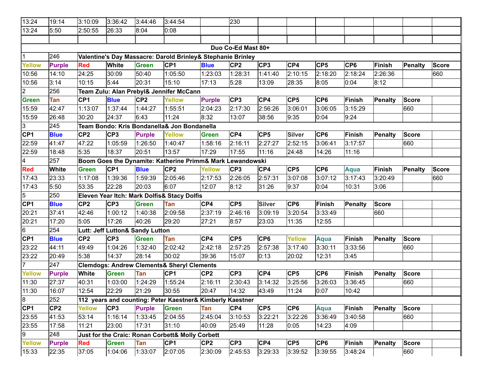| 13:24           | 19:14           | 3:10:09              | 3:36:42                         | 3:44:46         | 3:44:54                                                     |                 | 230                |                 |                 |                 |                 |                |                |              |
|-----------------|-----------------|----------------------|---------------------------------|-----------------|-------------------------------------------------------------|-----------------|--------------------|-----------------|-----------------|-----------------|-----------------|----------------|----------------|--------------|
| 13:24           | 5:50            | 2:50:55              | 26:33                           | 8:04            | 0:08                                                        |                 |                    |                 |                 |                 |                 |                |                |              |
|                 |                 |                      |                                 |                 |                                                             |                 |                    |                 |                 |                 |                 |                |                |              |
|                 |                 |                      |                                 |                 |                                                             |                 | Duo Co-Ed Mast 80+ |                 |                 |                 |                 |                |                |              |
|                 | 246             |                      |                                 |                 | Valentine's Day Massacre: Darold Brinley& Stephanie Brinley |                 |                    |                 |                 |                 |                 |                |                |              |
| <b>Yellow</b>   | <b>Purple</b>   | <b>Red</b>           | <b>White</b>                    | <b>Green</b>    | CP <sub>1</sub>                                             | <b>Blue</b>     | CP <sub>2</sub>    | CP3             | CP4             | CP <sub>5</sub> | CP <sub>6</sub> | Finish         | Penalty        | <b>Score</b> |
| 10:56           | 14:10           | 24:25                | 30:09                           | 50:40           | 1:05:50                                                     | 1:23:03         | 1:28:31            | 1:41:40         | 2:10:15         | 2:18:20         | 2:18:24         | 2:26:36        |                | 660          |
| 10:56           | 3:14            | 10:15                | 5:44                            | 20:31           | 15:10                                                       | 17:13           | 5:28               | 13:09           | 28:35           | 8:05            | 0:04            | 8:12           |                |              |
| $\overline{c}$  | 256             |                      |                                 |                 | Team Zulu: Alan Prebyl& Jennifer McCann                     |                 |                    |                 |                 |                 |                 |                |                |              |
| <b>Green</b>    | Tan             | CP <sub>1</sub>      | <b>Blue</b>                     | CP <sub>2</sub> | Yellow                                                      | <b>Purple</b>   | CP <sub>3</sub>    | CP4             | CP <sub>5</sub> | CP <sub>6</sub> | Finish          | <b>Penalty</b> | <b>Score</b>   |              |
| 15:59           | 42:47           | 1:13:07              | 1:37:44                         | 1:44:27         | 1:55:51                                                     | 2:04:23         | 2:17:30            | 2:56:26         | 3:06:01         | 3:06:05         | 3:15:29         |                | 660            |              |
| 15:59           | 26:48           | 30:20                | 24:37                           | 6:43            | 11:24                                                       | 8:32            | 13:07              | 38:56           | 9:35            | 0:04            | 9:24            |                |                |              |
| 3               | 245             |                      |                                 |                 | Team Bondo: Kris Bondanella& Jon Bondanella                 |                 |                    |                 |                 |                 |                 |                |                |              |
| CP1             | <b>Blue</b>     | CP <sub>2</sub>      | CP <sub>3</sub>                 | <b>Purple</b>   | <b>Yellow</b>                                               | <b>Green</b>    | CP4                | CP <sub>5</sub> | <b>Silver</b>   | CP <sub>6</sub> | <b>Finish</b>   | Penalty        | <b>Score</b>   |              |
| 22:59           | 41:47           | 47:22                | $\sqrt{1:05:59}$                | 1:26:50         | 1:40:47                                                     | 1:58:16         | 2:16:11            | 2:27:27         | 2:52:15         | 3:06:41         | 3:17:57         |                | 660            |              |
| 22:59           | 18:48           | 5:35                 | 18:37                           | 20:51           | 13:57                                                       | 17:29           | 17:55              | 11:16           | 24:48           | 14:26           | 11:16           |                |                |              |
| 4               | 257             |                      |                                 |                 | Boom Goes the Dynamite: Katherine Primm& Mark Lewandowski   |                 |                    |                 |                 |                 |                 |                |                |              |
| <b>Red</b>      | White           | <b>Green</b>         | CP <sub>1</sub>                 | <b>Blue</b>     | CP <sub>2</sub>                                             | <b>Yellow</b>   | CP <sub>3</sub>    | CP4             | CP <sub>5</sub> | CP <sub>6</sub> | <b>Aqua</b>     | <b>Finish</b>  | <b>Penalty</b> | <b>Score</b> |
| 17:43           | 23:33           | $\overline{1:}17:08$ | 1:39:36                         | 1:59:39         | 2:05:46                                                     | 2:17:53         | 2:26:05            | 2:57:31         | 3:07:08         | 3:07:12         | 3:17:43         | 3:20:49        |                | 660          |
| 17:43           | 5:50            | 53:35                | 22:28                           | 20:03           | 6:07                                                        | 12:07           | 8:12               | 31:26           | 9:37            | 0:04            | 10:31           | 3:06           |                |              |
| 5               | 250             |                      |                                 |                 | Eleven Year Itch: Mark Dolfis& Stacy Dolfis                 |                 |                    |                 |                 |                 |                 |                |                |              |
| CP <sub>1</sub> | <b>Blue</b>     | CP <sub>2</sub>      | CP <sub>3</sub>                 | <b>Green</b>    | Tan                                                         | CP4             | CP <sub>5</sub>    | <b>Silver</b>   | CP <sub>6</sub> | Finish          | <b>Penalty</b>  | <b>Score</b>   |                |              |
| 20:21           | 37:41           | 42:46                | 1:00:12                         | 1:40:38         | 2:09:58                                                     | 2:37:19         | 2:46:16            | 3:09:19         | 3:20:54         | 3:33:49         |                 | 660            |                |              |
| 20:21           | 17:20           | 5:05                 | 17:26                           | 40:26           | 29:20                                                       | 27:21           | 8:57               | 23:03           | 11:35           | 12:55           |                 |                |                |              |
| 6               | 254             |                      | Lutt: Jeff Lutton& Sandy Lutton |                 |                                                             |                 |                    |                 |                 |                 |                 |                |                |              |
| CF1             | <b>Blue</b>     | CP <sub>2</sub>      | CP <sub>3</sub>                 | <b>Green</b>    | Tan                                                         | CP4             | CP <sub>5</sub>    | CP <sub>6</sub> | <b>Yellow</b>   | <b>Aqua</b>     | <b>Finish</b>   | <b>Penalty</b> | <b>Score</b>   |              |
| 23:22           | 44:11           | 49:49                | 1:04:26                         | 1:32:40         | 2:02:42                                                     | 2:42:18         | 2:57:25            | 2:57:38         | 3:17:40         | 3:30:11         | 3:33:56         |                | 660            |              |
| 23:22           | 20:49           | 5:38                 | 14:37                           | 28:14           | 30:02                                                       | 39:36           | 15:07              | 0:13            | 20:02           | 12:31           | 3:45            |                |                |              |
| $\overline{7}$  | 247             |                      |                                 |                 | <b>Clemdogs: Andrew Clements&amp; Sheryl Clements</b>       |                 |                    |                 |                 |                 |                 |                |                |              |
| <b>Yellow</b>   | <b>Purple</b>   | <b>White</b>         | Green                           | Tan             | CP <sub>1</sub>                                             | CP <sub>2</sub> | CP <sub>3</sub>    | CP4             | CP <sub>5</sub> | CP <sub>6</sub> | <b>Finish</b>   | <b>Penalty</b> | <b>Score</b>   |              |
| 11:30           | 27:37           | 40:31                | 1:03:00                         | 1:24:29         | 1:55:24                                                     | 2:16:11         | 2:30:43            | 3:14:32         | 3:25:56         | 3:26:03         | 3:36:45         |                | 660            |              |
| 11:30           | 16:07           | 12:54                | 22:29                           | 21:29           | 30:55                                                       | 20:47           | 14:32              | 43:49           | 11:24           | 0:07            | 10:42           |                |                |              |
| 8               | 252             |                      |                                 |                 | 112 years and counting: Peter Kaestner& Kimberly Kaestner   |                 |                    |                 |                 |                 |                 |                |                |              |
| CP1             | CP <sub>2</sub> | <b>Yellow</b>        | CP <sub>3</sub>                 | <b>Purple</b>   | <b>Green</b>                                                | Tan             | CP4                | CP <sub>5</sub> | CP <sub>6</sub> | Aqua            | Finish          | Penalty        | <b>Score</b>   |              |
| 23:55           | 41:53           | 53:14                | 1:16:14                         | 1:33:45         | 2:04:55                                                     | 2:45:04         | 3:10:53            | 3:22:21         | 3:22:26         | 3:36:49         | 3:40:58         |                | 660            |              |
| 23:55           | 17:58           | 11:21                | 23:00                           | 17:31           | 31:10                                                       | 40:09           | 25:49              | 11:28           | 0:05            | 14:23           | 4:09            |                |                |              |
| 19              | 248             |                      |                                 |                 | Just for the Craic: Ronan Corbett& Molly Corbett            |                 |                    |                 |                 |                 |                 |                |                |              |
| <b>Yellow</b>   | <b>Purple</b>   | <b>Red</b>           | <b>Green</b>                    | Tan             | CP1                                                         | CP <sub>2</sub> | CP <sub>3</sub>    | CP4             | CP <sub>5</sub> | CP <sub>6</sub> | <b>Finish</b>   | <b>Penalty</b> | <b>Score</b>   |              |
| 15:33           | 22:35           | 37:05                | 1:04:06                         | 1:33:07         | 2:07:05                                                     | 2:30:09         | 2:45:53            | 3:29:33         | 3:39:52         | 3:39:55         | 3:48:24         |                | 660            |              |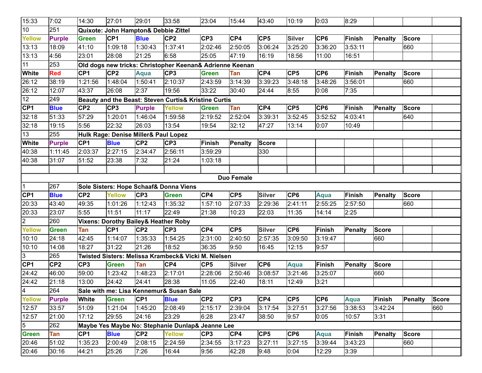| 15:33           | 7:02            | 14:30           | 27:01           | 29:01                                           | 33:58                                                    | 23:04           | 15:44           | 43:40           | 10:19           | 0:03            | 8:29          |                |                |              |
|-----------------|-----------------|-----------------|-----------------|-------------------------------------------------|----------------------------------------------------------|-----------------|-----------------|-----------------|-----------------|-----------------|---------------|----------------|----------------|--------------|
| 10              | 251             |                 |                 | Quixote: John Hampton& Debbie Zittel            |                                                          |                 |                 |                 |                 |                 |               |                |                |              |
| <b>Yellow</b>   | <b>Purple</b>   | <b>Green</b>    | CP <sub>1</sub> | <b>Blue</b>                                     | CP <sub>2</sub>                                          | CP <sub>3</sub> | CP4             | CP <sub>5</sub> | <b>Silver</b>   | CP <sub>6</sub> | Finish        | Penalty        | <b>Score</b>   |              |
| 13:13           | 18:09           | 41:10           | 1:09:18         | 1:30:43                                         | 1:37:41                                                  | 2:02:46         | 2:50:05         | 3:06:24         | 3:25:20         | 3:36:20         | 3:53:11       |                | 660            |              |
| 13:13           | 4:56            | 23:01           | 28:08           | 21:25                                           | 6:58                                                     | 25:05           | 47:19           | 16:19           | 18:56           | 11:00           | 16:51         |                |                |              |
| 11              | 253             |                 |                 |                                                 | Old dogs new tricks: Christopher Keenan& Adrienne Keenan |                 |                 |                 |                 |                 |               |                |                |              |
| <b>White</b>    | <b>Red</b>      | CP <sub>1</sub> | CP <sub>2</sub> | Aqua                                            | CP <sub>3</sub>                                          | <b>Green</b>    | Tan             | CP4             | CP <sub>5</sub> | CP <sub>6</sub> | Finish        | Penalty        | <b>Score</b>   |              |
| 26:12           | 38:19           | 1:21:56         | 1:48:04         | 1:50:41                                         | 2:10:37                                                  | 2:43:59         | 3:14:39         | 3:39:23         | 3:48:18         | 3:48:26         | 3:56:01       |                | 660            |              |
| 26:12           | 12:07           | 43:37           | 26:08           | 2:37                                            | 19:56                                                    | 33:22           | 30:40           | 24:44           | 8:55            | 0:08            | 7:35          |                |                |              |
| 12              | 249             |                 |                 |                                                 | Beauty and the Beast: Steven Curtis& Kristine Curtis     |                 |                 |                 |                 |                 |               |                |                |              |
| CP <sub>1</sub> | <b>Blue</b>     | CP <sub>2</sub> | CP <sub>3</sub> | <b>Purple</b>                                   | <b>Yellow</b>                                            | <b>Green</b>    | Tan             | CP4             | CP <sub>5</sub> | CP <sub>6</sub> | Finish        | <b>Penalty</b> | <b>Score</b>   |              |
| 32:18           | 51:33           | 57:29           | 1:20:01         | 1:46:04                                         | 1:59:58                                                  | 2:19:52         | 2:52:04         | 3:39:31         | 3:52:45         | 3:52:52         | 4:03:41       |                | 640            |              |
| 32:18           | 19:15           | 5:56            | 22:32           | 26:03                                           | 13:54                                                    | 19:54           | 32:12           | 47:27           | 13:14           | 0:07            | 10:49         |                |                |              |
| 13              | 255             |                 |                 | Hulk Rage: Denise Miller& Paul Lopez            |                                                          |                 |                 |                 |                 |                 |               |                |                |              |
| White           | <b>Purple</b>   | CP <sub>1</sub> | <b>Blue</b>     | CP <sub>2</sub>                                 | CP <sub>3</sub>                                          | Finish          | Penalty         | <b>Score</b>    |                 |                 |               |                |                |              |
| 40:38           | 1:11:45         | 2:03:37         | 2:27:15         | 2:34:47                                         | 2:56:11                                                  | 3:59:29         |                 | 330             |                 |                 |               |                |                |              |
| 40:38           | 31:07           | 51:52           | 23:38           | 7:32                                            | 21:24                                                    | 1:03:18         |                 |                 |                 |                 |               |                |                |              |
|                 |                 |                 |                 |                                                 |                                                          |                 |                 |                 |                 |                 |               |                |                |              |
|                 |                 |                 |                 |                                                 |                                                          |                 | Duo Female      |                 |                 |                 |               |                |                |              |
| $\overline{1}$  | 267             |                 |                 |                                                 | Sole Sisters: Hope Schaaf& Donna Viens                   |                 |                 |                 |                 |                 |               |                |                |              |
| CP1             | <b>Blue</b>     | CP <sub>2</sub> | <b>Yellow</b>   | CP <sub>3</sub>                                 | <b>Green</b>                                             | CP4             | CP <sub>5</sub> | <b>Silver</b>   | CP <sub>6</sub> | <b>Aqua</b>     | Finish        | <b>Penalty</b> | <b>Score</b>   |              |
| 20:33           | 43:40           | 49:35           | 1:01:26         | 1:12:43                                         | 1:35:32                                                  | 1:57:10         | 2:07:33         | 2:29:36         | 2:41:11         | 2:55:25         | 2:57:50       |                | 660            |              |
| 20:33           | 23:07           | 5:55            | 11:51           | 11:17                                           | 22:49                                                    | 21:38           | 10:23           | 22:03           | 11:35           | 14:14           | 2:25          |                |                |              |
| $\overline{2}$  | 260             |                 |                 | <b>Vixens: Dorothy Bailey&amp; Heather Roby</b> |                                                          |                 |                 |                 |                 |                 |               |                |                |              |
| <b>Yellow</b>   | <b>Green</b>    | Tan             | CP <sub>1</sub> | CP <sub>2</sub>                                 | CP <sub>3</sub>                                          | CP4             | CP <sub>5</sub> | <b>Silver</b>   | CP <sub>6</sub> | Finish          | Penalty       | <b>Score</b>   |                |              |
| 10:10           | 24:18           | 42:45           | 1:14:07         | 1:35:33                                         | 1:54:25                                                  | 2:31:00         | 2:40:50         | 2:57:35         | 3:09:50         | 3:19:47         |               | 660            |                |              |
| 10:10           | 14:08           | 18:27           | 31:22           | 21:26                                           | 18:52                                                    | 36:35           | 9:50            | 16:45           | 12:15           | 9:57            |               |                |                |              |
| 3               | 265             |                 |                 |                                                 | Twisted Sisters: Melissa Krambeck& Vicki M. Nielsen      |                 |                 |                 |                 |                 |               |                |                |              |
| CP1             | CP <sub>2</sub> | CP <sub>3</sub> | <b>Green</b>    | Tan                                             | C <sub>P4</sub>                                          | CP <sub>5</sub> | <b>Silver</b>   | CP <sub>6</sub> | <b>Aqua</b>     | Finish          | Penalty       | <b>Score</b>   |                |              |
| 24:42           | 46:00           | 59:00           | 1:23:42         | 1:48:23                                         | 2:17:01                                                  | 2:28:06         | 2:50:46         | 3:08:57         | 3:21:46         | 3:25:07         |               | 660            |                |              |
| 24:42           | 21:18           | 13:00           | 24:42           | 24:41                                           | 28:38                                                    | 11:05           | 22:40           | 18:11           | 12:49           | 3:21            |               |                |                |              |
| $\sqrt{4}$      | 264             |                 |                 |                                                 | Sale with me: Lisa Kennemur& Susan Sale                  |                 |                 |                 |                 |                 |               |                |                |              |
| <b>Yellow</b>   | <b>Purple</b>   | <b>White</b>    | <b>Green</b>    | CP <sub>1</sub>                                 | <b>Blue</b>                                              | CP <sub>2</sub> | CP <sub>3</sub> | CP4             | CP <sub>5</sub> | CP <sub>6</sub> | <b>Aqua</b>   | <b>Finish</b>  | <b>Penalty</b> | <b>Score</b> |
| 12:57           | 33:57           | 51:09           | 1:21:04         | 1:45:20                                         | 2:08:49                                                  | 2:15:17         | 2:39:04         | 3:17:54         | 3:27:51         | 3:27:56         | 3:38:53       | 3:42:24        |                | 660          |
| 12:57           | 21:00           | 17:12           | 29:55           | 24:16                                           | 23:29                                                    | 6:28            | 23:47           | 38:50           | 9:57            | 0:05            | 10:57         | 3:31           |                |              |
| 5               | 262             |                 |                 |                                                 | Maybe Yes Maybe No: Stephanie Dunlap& Jeanne Lee         |                 |                 |                 |                 |                 |               |                |                |              |
| Green           | Tan             | CP <sub>1</sub> | <b>Blue</b>     | CP <sub>2</sub>                                 | Yellow                                                   | CP3             | CP4             | CP <sub>5</sub> | CP6             | Aqua            | <b>Finish</b> | <b>Penalty</b> | <b>Score</b>   |              |
| 20:46           | 51:02           | 1:35:23         | 2:00:49         | 2:08:15                                         | 2:24:59                                                  | 2:34:55         | 3:17:23         | 3:27:11         | 3:27:15         | 3:39:44         | 3:43:23       |                | 660            |              |
|                 |                 |                 |                 |                                                 |                                                          |                 |                 |                 |                 |                 |               |                |                |              |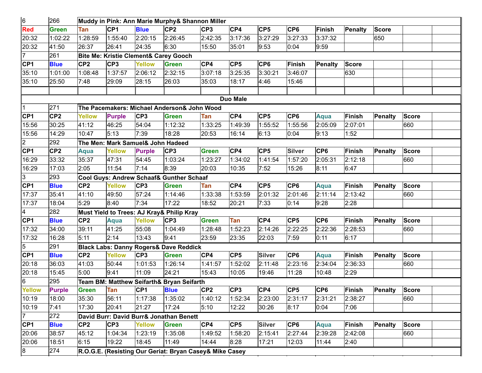| 6               | 266             |                 |                                   |                 | Muddy in Pink: Ann Marie Murphy& Shannon Miller         |                 |                 |                 |                 |                 |               |                |              |  |
|-----------------|-----------------|-----------------|-----------------------------------|-----------------|---------------------------------------------------------|-----------------|-----------------|-----------------|-----------------|-----------------|---------------|----------------|--------------|--|
| Red             | <b>Green</b>    | Tan             | CP <sub>1</sub>                   | <b>Blue</b>     | CP <sub>2</sub>                                         | CP <sub>3</sub> | CP4             | CP <sub>5</sub> | CP <sub>6</sub> | <b>Finish</b>   | Penalty       | <b>Score</b>   |              |  |
| 20:32           | 1:02:22         | 1:28:59         | 1:55:40                           | 2:20:15         | 2:26:45                                                 | 2:42:35         | 3:17:36         | 3:27:29         | 3:27:33         | 3:37:32         |               | 650            |              |  |
| 20:32           | 41:50           | 26:37           | 26:41                             | 24:35           | 6:30                                                    | 15:50           | 35:01           | 9:53            | 0:04            | 9:59            |               |                |              |  |
| $\overline{7}$  | 261             |                 |                                   |                 | <b>Bite Me: Kristie Clement&amp; Carey Gooch</b>        |                 |                 |                 |                 |                 |               |                |              |  |
| CP <sub>1</sub> | <b>Blue</b>     | CP <sub>2</sub> | CP <sub>3</sub>                   | <b>Yellow</b>   | <b>Green</b>                                            | CP4             | CP <sub>5</sub> | CP <sub>6</sub> | <b>Finish</b>   | Penalty         | <b>Score</b>  |                |              |  |
| 35:10           | 1:01:00         | 1:08:48         | 1:37:57                           | 2:06:12         | 2:32:15                                                 | 3:07:18         | 3:25:35         | 3:30:21         | 3:46:07         |                 | 630           |                |              |  |
| 35:10           | 25:50           | 7:48            | 29:09                             | 28:15           | 26:03                                                   | 35:03           | 18:17           | 4:46            | 15:46           |                 |               |                |              |  |
|                 |                 |                 |                                   |                 |                                                         |                 |                 |                 |                 |                 |               |                |              |  |
|                 |                 |                 |                                   |                 |                                                         |                 | <b>Duo Male</b> |                 |                 |                 |               |                |              |  |
| 1               | 271             |                 |                                   |                 | The Pacemakers: Michael Anderson& John Wood             |                 |                 |                 |                 |                 |               |                |              |  |
| CP1             | CP <sub>2</sub> | Yellow          | <b>Purple</b>                     | CP <sub>3</sub> | <b>Green</b>                                            | Tan             | CP4             | CP <sub>5</sub> | CP <sub>6</sub> | Aqua            | Finish        | Penalty        | <b>Score</b> |  |
| 15:56           | 30:25           | 41:12           | 46:25                             | 54:04           | 1:12:32                                                 | 1:33:25         | 1:49:39         | 1:55:52         | 1:55:56         | 2:05:09         | 2:07:01       |                | 660          |  |
| 15:56           | 14:29           | 10:47           | 5:13                              | 7:39            | 18:28                                                   | 20:53           | 16:14           | 6:13            | 0:04            | 9:13            | 1:52          |                |              |  |
| $\overline{c}$  | 292             |                 | The Men: Mark Samuel& John Hadeed |                 |                                                         |                 |                 |                 |                 |                 |               |                |              |  |
| CP1             | CP <sub>2</sub> | Aqua            | <b>Yellow</b>                     | <b>Purple</b>   | CP <sub>3</sub>                                         | <b>Green</b>    | CP4             | CP <sub>5</sub> | <b>Silver</b>   | CP <sub>6</sub> | <b>Finish</b> | <b>Penalty</b> | <b>Score</b> |  |
| 16:29           | 33:32           | 35:37           | 47:31                             | 54:45           | 1:03:24                                                 | 1:23:27         | 1:34:02         | 1:41:54         | 1:57:20         | 2:05:31         | 2:12:18       |                | 660          |  |
| 16:29           | 17:03           | 2:05            | 11:54                             | 7:14            | 8:39                                                    | 20:03           | 10:35           | 7:52            | 15:26           | 8:11            | 6:47          |                |              |  |
| $\overline{3}$  | 293             |                 |                                   |                 | Cool Guys: Andrew Schaaf& Gunther Schaaf                |                 |                 |                 |                 |                 |               |                |              |  |
| CP1             | <b>Blue</b>     | CP <sub>2</sub> | <b>Yellow</b>                     | CP <sub>3</sub> | <b>Green</b>                                            | Tan             | CP4             | CP <sub>5</sub> | CP <sub>6</sub> | <b>Aqua</b>     | Finish        | <b>Penalty</b> | <b>Score</b> |  |
| 17:37           | 35:41           | 41:10           | 49:50                             | 57:24           | 1:14:46                                                 | 1:33:38         | 1:53:59         | 2:01:32         | 2:01:46         | 2:11:14         | 2:13:42       |                | 660          |  |
| 17:37           | 18:04           | 5:29            | 8:40                              | 7:34            | 17:22                                                   | 18:52           | 20:21           | 7:33            | 0:14            | 9:28            | 2:28          |                |              |  |
| 4               | 282             |                 |                                   |                 | Must Yield to Trees: AJ Kray& Philip Kray               |                 |                 |                 |                 |                 |               |                |              |  |
| CP <sub>1</sub> | <b>Blue</b>     | CP <sub>2</sub> | <b>Aqua</b>                       | <b>Yellow</b>   | CP <sub>3</sub>                                         | <b>Green</b>    | Tan             | CP4             | CP <sub>5</sub> | CP <sub>6</sub> | Finish        | <b>Penalty</b> | <b>Score</b> |  |
| 17:32           | 34:00           | 39:11           | 41:25                             | 55:08           | 1:04:49                                                 | 1:28:48         | 1:52:23         | 2:14:26         | 2:22:25         | 2:22:36         | 2:28:53       |                | 660          |  |
| 17:32           | 16:28           | 5:11            | 2:14                              | 13:43           | 9:41                                                    | 23:59           | 23:35           | 22:03           | 7:59            | 0:11            | 6:17          |                |              |  |
| 5               | 291             |                 |                                   |                 | <b>Black Labs: Danny Rogers&amp; Dave Reddick</b>       |                 |                 |                 |                 |                 |               |                |              |  |
| CP1             | <b>Blue</b>     | CP <sub>2</sub> | <b>Yellow</b>                     | CP <sub>3</sub> | <b>Green</b>                                            | CP4             | CP <sub>5</sub> | <b>Silver</b>   | CP <sub>6</sub> | <b>Aqua</b>     | Finish        | <b>Penalty</b> | <b>Score</b> |  |
| 20:18           | 36:03           | 41:03           | 50:44                             | 1:01:53         | 1:26:14                                                 | 1:41:57         | 1:52:02         | 2:11:48         | 2:23:16         | 2:34:04         | 2:36:33       |                | 660          |  |
| 20:18           | 15:45           | 5:00            | 9:41                              | 11:09           | $\overline{2}4:21$                                      | 15:43           | 10:05           | 19:46           | 11:28           | 10:48           | 2:29          |                |              |  |
| 6               | 295             |                 |                                   |                 | Team BM: Matthew Seifarth& Bryan Seifarth               |                 |                 |                 |                 |                 |               |                |              |  |
| Yellow          | <b>Purple</b>   | Green Tan       |                                   | CP1             | <b>Blue</b>                                             | CP <sub>2</sub> | CP3             | CP4             | CP <sub>5</sub> | CP6             | Finish        | <b>Penalty</b> | <b>Score</b> |  |
| 10:19           | 18:00           | 35:30           | 56:11                             | 1:17:38         | 1:35:02                                                 | 1:40:12         | 1:52:34         | 2:23:00         | 2:31:17         | 2:31:21         | 2:38:27       |                | 660          |  |
| 10:19           | 7:41            | 17:30           | 20:41                             | 21:27           | 17:24                                                   | 5:10            | 12:22           | 30:26           | 8:17            | 0:04            | 7:06          |                |              |  |
| $\overline{7}$  | 272             |                 |                                   |                 | David Burr: David Burr& Jonathan Benett                 |                 |                 |                 |                 |                 |               |                |              |  |
| CP <sub>1</sub> | <b>Blue</b>     | CP <sub>2</sub> | CP <sub>3</sub>                   | <b>Yellow</b>   | <b>Green</b>                                            | CP4             | CP <sub>5</sub> | <b>Silver</b>   | CP <sub>6</sub> | Aqua            | Finish        | <b>Penalty</b> | <b>Score</b> |  |
| 20:06           | 38:57           | 45:12           | 1:04:34                           | 1:23:19         | 1:35:08                                                 | 1:49:52         | 1:58:20         | 2:15:41         | 2:27:44         | 2:39:28         | 2:42:08       |                | 660          |  |
| 20:06           | 18:51           | 6:15            | 19:22                             | 18:45           | 11:49                                                   | 14:44           | 8:28            | 17:21           | 12:03           | 11:44           | 2:40          |                |              |  |
| $^{\circ}$      | 274             |                 |                                   |                 | R.O.G.E. (Resisting Our Geriat: Bryan Casey& Mike Casey |                 |                 |                 |                 |                 |               |                |              |  |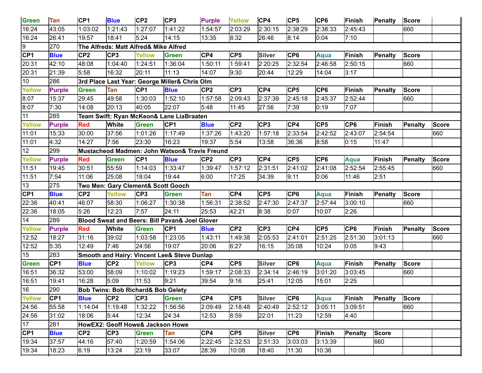| Green           | Tan             | CP <sub>1</sub> | <b>Blue</b>                                   | CP <sub>2</sub> | CP <sub>3</sub>                                | <b>Purple</b>   | <b>Yellow</b>   | CP4             | CP <sub>5</sub> | CP <sub>6</sub> | <b>Finish</b>   | Penalty        | <b>Score</b> |              |
|-----------------|-----------------|-----------------|-----------------------------------------------|-----------------|------------------------------------------------|-----------------|-----------------|-----------------|-----------------|-----------------|-----------------|----------------|--------------|--------------|
| 16:24           | 43:05           | 1:03:02         | 1:21:43                                       | 1:27:07         | 1:41:22                                        | 1:54:57         | 2:03:29         | 2:30:15         | 2:38:29         | 2:38:33         | 2:45:43         |                | 660          |              |
| 16:24           | 26:41           | 19:57           | 18:41                                         | 5:24            | 14:15                                          | 13:35           | 8:32            | 26:46           | 8:14            | 0:04            | 7:10            |                |              |              |
| 19              | 270             |                 | The Alfreds: Matt Alfred& Mike Alfred         |                 |                                                |                 |                 |                 |                 |                 |                 |                |              |              |
| CP <sub>1</sub> | <b>Blue</b>     | CP <sub>2</sub> | CP <sub>3</sub>                               | <b>Yellow</b>   | <b>Green</b>                                   | CP4             | CP <sub>5</sub> | <b>Silver</b>   | CP <sub>6</sub> | <b>Aqua</b>     | <b>Finish</b>   | Penalty        | <b>Score</b> |              |
| 20:31           | 42:10           | 48:08           | 1:04:40                                       | 1:24:51         | 1:36:04                                        | 1:50:11         | 1:59:41         | 2:20:25         | 2:32:54         | 2:46:58         | 2:50:15         |                | 660          |              |
| 20:31           | 21:39           | 5:58            | 16:32                                         | 20:11           | 11:13                                          | 14:07           | 9:30            | 20:44           | 12:29           | 14:04           | 3:17            |                |              |              |
| 10              | 286             |                 |                                               |                 | 3rd Place Last Year: George Miller& Chris Olm  |                 |                 |                 |                 |                 |                 |                |              |              |
| <b>Yellow</b>   | <b>Purple</b>   | <b>Green</b>    | Tan                                           | CP <sub>1</sub> | <b>Blue</b>                                    | CP <sub>2</sub> | CP <sub>3</sub> | CP4             | CP <sub>5</sub> | CP <sub>6</sub> | <b>Finish</b>   | <b>Penalty</b> | <b>Score</b> |              |
| 8:07            | 15:37           | 29:45           | 49:58                                         | 1:30:03         | 1:52:10                                        | 1:57:58         | 2:09:43         | 2:37:39         | 2:45:18         | 2:45:37         | 2:52:44         |                | 660          |              |
| 8:07            | 7:30            | 14:08           | 20:13                                         | 40:05           | 22:07                                          | 5:48            | 11:45           | 27:56           | 7:39            | 0:19            | 7:07            |                |              |              |
| 11              | 285             |                 |                                               |                 | Team Swift: Ryan McKeon& Lane LiaBraaten       |                 |                 |                 |                 |                 |                 |                |              |              |
| <b>Yellow</b>   | <b>Purple</b>   | <b>Red</b>      | <b>White</b>                                  | <b>Green</b>    | CP <sub>1</sub>                                | <b>Blue</b>     | CP <sub>2</sub> | CP <sub>3</sub> | CP4             | CP <sub>5</sub> | CP <sub>6</sub> | Finish         | Penalty      | <b>Score</b> |
| 11:01           | 15:33           | 30:00           | 37:56                                         | 1:01:26         | 1:17:49                                        | 1:37:26         | 1:43:20         | 1:57:18         | 2:33:54         | 2:42:52         | 2:43:07         | 2:54:54        |              | 660          |
| 11:01           | 4:32            | 14:27           | 7:56                                          | 23:30           | 16:23                                          | 19:37           | 5:54            | 13:58           | 36:36           | 8:58            | 0:15            | 11:47          |              |              |
| 12              | 299             |                 |                                               |                 | Mustacheod Madmen: John Watson& Travis Freund  |                 |                 |                 |                 |                 |                 |                |              |              |
| <b>Yellow</b>   | <b>Purple</b>   | <b>Red</b>      | Green                                         | CP <sub>1</sub> | <b>Blue</b>                                    | CP <sub>2</sub> | CP <sub>3</sub> | CP4             | CP <sub>5</sub> | CP <sub>6</sub> | <b>Aqua</b>     | Finish         | Penalty      | <b>Score</b> |
| 11:51           | 19:45           | 30:51           | 55:59                                         | 1:14:03         | 1:33:47                                        | 1:39:47         | 1:57:12         | 2:31:51         | 2:41:02         | 2:41:08         | 2:52:54         | 2:55:45        |              | 660          |
| 11:51           | 7:54            | 11:06           | 25:08                                         | 18:04           | 19:44                                          | 6:00            | 17:25           | 34:39           | 9:11            | 0:06            | 11:46           | 2:51           |              |              |
| 13              | 275             |                 | Two Men: Gary Clement& Scott Gooch            |                 |                                                |                 |                 |                 |                 |                 |                 |                |              |              |
| CP <sub>1</sub> | <b>Blue</b>     | CP <sub>2</sub> | <b>Yellow</b>                                 | CP <sub>3</sub> | <b>Green</b>                                   | Tan             | CP4             | CP <sub>5</sub> | CP <sub>6</sub> | Aqua            | <b>Finish</b>   | Penalty        | <b>Score</b> |              |
| 22:36           | 40:41           | 46:07           | 58:30                                         | 1:06:27         | 1:30:38                                        | 1:56:31         | 2:38:52         | 2:47:30         | 2:47:37         | 2:57:44         | 3:00:10         |                | 660          |              |
| 22:36           | 18:05           | 5:26            | 12:23                                         | 7:57            | 24:11                                          | 25:53           | 42:21           | 8:38            | 0:07            | 10:07           | 2:26            |                |              |              |
| $\overline{14}$ | 289             |                 |                                               |                 | Blood Sweat and Beers: Bill Pavan& Joel Glover |                 |                 |                 |                 |                 |                 |                |              |              |
| <b>Yellow</b>   | <b>Purple</b>   | <b>Red</b>      | <b>White</b>                                  | <b>Green</b>    | CP <sub>1</sub>                                | <b>Blue</b>     | CP2             | CP <sub>3</sub> | CP4             | CP <sub>5</sub> | CP <sub>6</sub> | Finish         | Penalty      | Score        |
| 12:52           | 18:27           | 31:16           | 39:02                                         | 1:03:58         | 1:23:05                                        | 1:43:11         | 1:49:38         | 2:05:53         | 2:41:01         | 2:51:25         | 2:51:30         | 3:01:13        |              | 660          |
| 12:52           | 5:35            | 12:49           | 7:46                                          | 24:56           | 19:07                                          | 20:06           | 6:27            | 16:15           | 35:08           | 10:24           | 0:05            | 9:43           |              |              |
| 15              | 283             |                 |                                               |                 | Smooth and Hairy: Vincent Lee& Steve Dunlap    |                 |                 |                 |                 |                 |                 |                |              |              |
| <b>Green</b>    | CP <sub>1</sub> | <b>Blue</b>     | CP <sub>2</sub>                               | <b>Yellow</b>   | CP3                                            | CP4             | CP <sub>5</sub> | <b>Silver</b>   | CP <sub>6</sub> | Aqua            | <b>Finish</b>   | Penalty        | <b>Score</b> |              |
| 16:51           | 36:32           | 53:00           | 58:09                                         | 1:10:02         | 1:19:23                                        | 1:59:17         | 2:08:33         | 2:34:14         | 2:46:19         | 3:01:20         | 3:03:45         |                | 660          |              |
| 16:51           | 19:41           | 16:28           | 5:09                                          | 11:53           | 9:21                                           | 39:54           | 9:16            | 25:41           | 12:05           | 15:01           | 2:25            |                |              |              |
| 16              | 290             |                 | <b>Bob Twins: Bob Richard&amp; Bob Gelety</b> |                 |                                                |                 |                 |                 |                 |                 |                 |                |              |              |
| Yellow          | CP <sub>1</sub> | <b>Blue</b>     | CP <sub>2</sub>                               | CP3             | <b>Green</b>                                   | CP4             | CP <sub>5</sub> | <b>Silver</b>   | CP <sub>6</sub> | Aqua            | <b>Finish</b>   | <b>Penalty</b> | <b>Score</b> |              |
| 24:56           | 55:58           | 1:14:04         | 1:19:48                                       | 1:32:22         | 1:56:56                                        | 2:09:49         | 2:18:48         | 2:40:49         | 2:52:12         | 3:05:11         | 3:09:51         |                | 660          |              |
| 24:56           | 31:02           | 18:06           | 5:44                                          | 12:34           | 24:34                                          | 12:53           | 8:59            | 22:01           | 11:23           | 12:59           | 4:40            |                |              |              |
| $\vert$ 17      | 281             |                 | HowEX2: Geoff Howe& Jackson Howe              |                 |                                                |                 |                 |                 |                 |                 |                 |                |              |              |
| CP <sub>1</sub> | <b>Blue</b>     | CP <sub>2</sub> | CP <sub>3</sub>                               | Green           | Tan                                            | CP4             | CP <sub>5</sub> | <b>Silver</b>   | CP <sub>6</sub> | <b>Finish</b>   | <b>Penalty</b>  | <b>Score</b>   |              |              |
| 19:34           | 37:57           | 44:16           | 57:40                                         | 1:20:59         | 1:54:06                                        | 2:22:45         | 2:32:53         | 2:51:33         | 3:03:03         | 3:13:39         |                 | 660            |              |              |
| 19:34           | 18:23           | 6:19            | 13:24                                         | 23:19           | 33:07                                          | 28:39           | 10:08           | 18:40           | 11:30           | 10:36           |                 |                |              |              |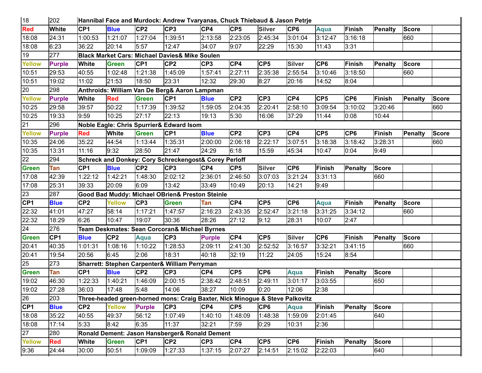| 18            | 202             |                      |                 |                 | Hannibal Face and Murdock: Andrew Tvaryanas, Chuck Thiebaud & Jason Petrje   |                 |                 |                 |                 |                 |                 |              |              |              |
|---------------|-----------------|----------------------|-----------------|-----------------|------------------------------------------------------------------------------|-----------------|-----------------|-----------------|-----------------|-----------------|-----------------|--------------|--------------|--------------|
| <b>Red</b>    | White           | CP <sub>1</sub>      | <b>Blue</b>     | CP <sub>2</sub> | CP <sub>3</sub>                                                              | CP4             | CP <sub>5</sub> | <b>Silver</b>   | CP <sub>6</sub> | <b>Aqua</b>     | <b>Finish</b>   | Penalty      | <b>Score</b> |              |
| 18:08         | 24:31           | 1:00:53              | 1:21:07         | 1:27:04         | 1:39:51                                                                      | 2:13:58         | 2:23:05         | 2:45:34         | 3:01:04         | 3:12:47         | 3:16:18         |              | 660          |              |
| 18:08         | 6:23            | 36:22                | 20:14           | 5:57            | 12:47                                                                        | 34:07           | 9:07            | 22:29           | 15:30           | 11:43           | 3:31            |              |              |              |
| 19            | 277             |                      |                 |                 | <b>Black Market Cars: Michael Davies&amp; Mike Soulen</b>                    |                 |                 |                 |                 |                 |                 |              |              |              |
| <b>Yellow</b> | <b>Purple</b>   | <b>White</b>         | <b>Green</b>    | CP <sub>1</sub> | CP <sub>2</sub>                                                              | CP <sub>3</sub> | CP4             | CP <sub>5</sub> | <b>Silver</b>   | CP <sub>6</sub> | <b>Finish</b>   | Penalty      | <b>Score</b> |              |
| 10:51         | 29:53           | 40:55                | 1:02:48         | 1:21:38         | 1:45:09                                                                      | 1:57:41         | 2:27:11         | 2:35:38         | 2:55:54         | 3:10:46         | 3:18:50         |              | 660          |              |
| 10:51         | 19:02           | 11:02                | 21:53           | 18:50           | 23:31                                                                        | 12:32           | 29:30           | 8:27            | 20:16           | 14:52           | 8:04            |              |              |              |
| 20            | 298             |                      |                 |                 | Anthroids: William Van De Berg& Aaron Lampman                                |                 |                 |                 |                 |                 |                 |              |              |              |
| <b>Yellow</b> | <b>Purple</b>   | <b>White</b>         | <b>Red</b>      | <b>Green</b>    | CP <sub>1</sub>                                                              | <b>Blue</b>     | CP <sub>2</sub> | CP <sub>3</sub> | CP4             | CP <sub>5</sub> | CP <sub>6</sub> | Finish       | Penalty      | <b>Score</b> |
| 10:25         | 29:58           | 39:57                | 50:22           | 1:17:39         | 1:39:52                                                                      | 1:59:05         | 2:04:35         | 2:20:41         | 2:58:10         | 3:09:54         | 3:10:02         | 3:20:46      |              | 660          |
| 10:25         | 19:33           | 9:59                 | 10:25           | 27:17           | 22:13                                                                        | 19:13           | 5:30            | 16:06           | 37:29           | 11:44           | 0:08            | 10:44        |              |              |
| 21            | 296             |                      |                 |                 | Noble Eagle: Chris Spurrier& Edward Isom                                     |                 |                 |                 |                 |                 |                 |              |              |              |
| <b>Yellow</b> | <b>Purple</b>   | <b>Red</b>           | <b>White</b>    | <b>Green</b>    | CP <sub>1</sub>                                                              | <b>Blue</b>     | CP <sub>2</sub> | CP3             | CP4             | CP <sub>5</sub> | CP <sub>6</sub> | Finish       | Penalty      | <b>Score</b> |
| 10:35         | 24:06           | 35:22                | 44:54           | 1:13:44         | 1:35:31                                                                      | 2:00:00         | 2:06:18         | 2:22:17         | 3:07:51         | 3:18:38         | 3:18:42         | 3:28:31      |              | 660          |
| 10:35         | 13:31           | 11:16                | 9:32            | 28:50           | 21:47                                                                        | 24:29           | 6:18            | 15:59           | 45:34           | 10:47           | 0:04            | 9:49         |              |              |
| 22            | 294             |                      |                 |                 | Schreck and Donkey: Cory Schreckengost& Corey Perloff                        |                 |                 |                 |                 |                 |                 |              |              |              |
| <b>Green</b>  | Tan             | CP <sub>1</sub>      | <b>Blue</b>     | CP <sub>2</sub> | CP <sub>3</sub>                                                              | CP4             | CP <sub>5</sub> | <b>Silver</b>   | CP <sub>6</sub> | <b>Finish</b>   | <b>Penalty</b>  | <b>Score</b> |              |              |
| 17:08         | 42:39           | 1:22:12              | 1:42:21         | 1:48:30         | 2:02:12                                                                      | 2:36:01         | 2:46:50         | 3:07:03         | 3:21:24         | 3:31:13         |                 | 660          |              |              |
| 17:08         | 25:31           | 39:33                | 20:09           | 6:09            | 13:42                                                                        | 33:49           | 10:49           | 20:13           | 14:21           | 9:49            |                 |              |              |              |
| 23            | 287             |                      |                 |                 | Good Bad Muddy: Michael OBrien& Preston Steinle                              |                 |                 |                 |                 |                 |                 |              |              |              |
| CF1           | <b>Blue</b>     | CP <sub>2</sub>      | <b>Yellow</b>   | CP <sub>3</sub> | <b>Green</b>                                                                 | Tan             | CP4             | CP <sub>5</sub> | CP <sub>6</sub> | Aqua            | <b>Finish</b>   | Penalty      | <b>Score</b> |              |
| 22:32         | 41:01           | 47:27                | 58:14           | 1:17:21         | 1:47:57                                                                      | 2:16:23         | 2:43:35         | 2:52:47         | 3:21:18         | 3:31:25         | 3:34:12         |              | 660          |              |
| 22:32         | 18:29           | 6:26                 | 10:47           | 19:07           | 30:36                                                                        | 28:26           | 27:12           | 9:12            | 28:31           | 10:07           | 2:47            |              |              |              |
| 24            | 276             |                      |                 |                 | Team Deskmates: Sean Corcoran& Michael Byrnes                                |                 |                 |                 |                 |                 |                 |              |              |              |
| <b>Green</b>  | CP <sub>1</sub> | <b>Blue</b>          | CP <sub>2</sub> | <b>Aqua</b>     | CP <sub>3</sub>                                                              | <b>Purple</b>   | CP4             | CP <sub>5</sub> | <b>Silver</b>   | CP <sub>6</sub> | <b>Finish</b>   | Penalty      | <b>Score</b> |              |
| 20:41         | 40:35           | 1:01:31              | 1:08:16         | 1:10:22         | 1:28:53                                                                      | 2:09:11         | 2:41:30         | 2:52:52         | 3:16:57         | 3:32:21         | 3:41:15         |              | 660          |              |
| 20:41         | 19:54           | 20:56                | 6:45            | 2:06            | 18:31                                                                        | 40:18           | 32:19           | 11:22           | 24:05           | 15:24           | 8:54            |              |              |              |
| 25            | 273             |                      |                 |                 | Sharrett: Stephen Carpenter& William Perryman                                |                 |                 |                 |                 |                 |                 |              |              |              |
| <b>Green</b>  | Tan             | CP <sub>1</sub>      | <b>Blue</b>     | CP <sub>2</sub> | CP <sub>3</sub>                                                              | CP4             | CP <sub>5</sub> | CP <sub>6</sub> | <b>Aqua</b>     | Finish          | Penalty         | <b>Score</b> |              |              |
| 19:02         | 46:30           | $\overline{1}:22:33$ | 1:40:21         | 1:46:09         | 2:00:15                                                                      | 2:38:42         | 2:48:51         | 2:49:11         | 3:01:17         | 3:03:55         |                 | 650          |              |              |
| 19:02         | 27:28           | 36:03                | 17:48           | 5:48            | 14:06                                                                        | 38:27           | 10:09           | 0:20            | 12:06           | 2:38            |                 |              |              |              |
| 26            | 203             |                      |                 |                 | Three-headed green-horned mons: Craig Baxter, Nick Minogue & Steve Palkovitz |                 |                 |                 |                 |                 |                 |              |              |              |
| CF1           | <b>Blue</b>     | CP <sub>2</sub>      | <b>Yellow</b>   | <b>Purple</b>   | CP3                                                                          | CP4             | CP <sub>5</sub> | CP <sub>6</sub> | Aqua            | Finish          | Penalty         | <b>Score</b> |              |              |
| 18:08         | 35:22           | 40:55                | 49:37           | 56:12           | 1:07:49                                                                      | 1:40:10         | 1:48:09         | 1:48:38         | 1:59:09         | 2:01:45         |                 | 640          |              |              |
| 18:08         | 17:14           | 5:33                 | 8:42            | 6:35            | 11:37                                                                        | 32:21           | 7:59            | 0:29            | 10:31           | 2:36            |                 |              |              |              |
| 27            | 280             |                      |                 |                 | Ronald Dement: Jason Hansberger& Ronald Dement                               |                 |                 |                 |                 |                 |                 |              |              |              |
| <b>Yellow</b> | <b>Red</b>      | White                | <b>Green</b>    | CP <sub>1</sub> | CP <sub>2</sub>                                                              | CP3             | CP4             | CP5             | CP6             | <b>Finish</b>   | Penalty         | <b>Score</b> |              |              |
| 9:36          | 24:44           | 30:00                | 50:51           | 1:09:09         | 1:27:33                                                                      | 1:37:15         | 2:07:27         | 2:14:51         | 2:15:02         | 2:22:03         |                 | 640          |              |              |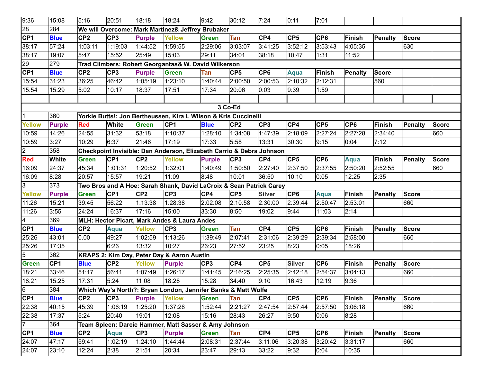| 9:36            | 15:08           | 5:16            | 20:51           | 18:18           | 18:24                                                                | 9:42            | 30:12           | 7:24            | 0:11            | 7:01            |                 |                |                |              |
|-----------------|-----------------|-----------------|-----------------|-----------------|----------------------------------------------------------------------|-----------------|-----------------|-----------------|-----------------|-----------------|-----------------|----------------|----------------|--------------|
| 28              | 284             |                 |                 |                 | We will Overcome: Mark Martinez& Jeffrey Brubaker                    |                 |                 |                 |                 |                 |                 |                |                |              |
| CP <sub>1</sub> | <b>Blue</b>     | CP <sub>2</sub> | CP <sub>3</sub> | <b>Purple</b>   | <b>Yellow</b>                                                        | <b>Green</b>    | Tan             | CP4             | CP <sub>5</sub> | CP <sub>6</sub> | <b>Finish</b>   | Penalty        | <b>Score</b>   |              |
| 38:17           | 57:24           | 1:03:11         | 1:19:03         | 1:44:52         | 1:59:55                                                              | 2:29:06         | 3:03:07         | 3:41:25         | 3:52:12         | 3:53:43         | 4:05:35         |                | 630            |              |
| 38:17           | 19:07           | 5:47            | 15:52           | 25:49           | 15:03                                                                | 29:11           | 34:01           | 38:18           | 10:47           | 1:31            | 11:52           |                |                |              |
| 29              | 279             |                 |                 |                 | Trad Climbers: Robert Georgantas& W. David Wilkerson                 |                 |                 |                 |                 |                 |                 |                |                |              |
| CP <sub>1</sub> | <b>Blue</b>     | CP <sub>2</sub> | CP <sub>3</sub> | <b>Purple</b>   | <b>Green</b>                                                         | Tan             | CP <sub>5</sub> | CP <sub>6</sub> | Aqua            | Finish          | <b>Penalty</b>  | <b>Score</b>   |                |              |
| 15:54           | 31:23           | 36:25           | 46:42           | 1:05:19         | 1:23:10                                                              | 1:40:44         | 2:00:50         | 2:00:53         | 2:10:32         | 2:12:31         |                 | 560            |                |              |
| 15:54           | 15:29           | 5:02            | 10:17           | 18:37           | 17:51                                                                | 17:34           | 20:06           | 0:03            | 9:39            | 1:59            |                 |                |                |              |
|                 |                 |                 |                 |                 |                                                                      |                 |                 |                 |                 |                 |                 |                |                |              |
|                 |                 |                 |                 |                 |                                                                      |                 | 3 Co-Ed         |                 |                 |                 |                 |                |                |              |
| 1               | 360             |                 |                 |                 | Yorkie Butts!: Jon Bertheussen, Kira L Wilson & Kris Cuccinelli      |                 |                 |                 |                 |                 |                 |                |                |              |
| <b>Yellow</b>   | <b>Purple</b>   | <b>Red</b>      | <b>White</b>    | <b>Green</b>    | CP <sub>1</sub>                                                      | <b>Blue</b>     | CP <sub>2</sub> | CP <sub>3</sub> | CP4             | CP <sub>5</sub> | CP <sub>6</sub> | Finish         | Penalty        | <b>Score</b> |
| 10:59           | 14:26           | 24:55           | 31:32           | 53:18           | 1:10:37                                                              | 1:28:10         | 1:34:08         | 1:47:39         | 2:18:09         | 2:27:24         | 2:27:28         | 2:34:40        |                | 660          |
| 10:59           | 3:27            | 10:29           | 6:37            | 21:46           | 17:19                                                                | 17:33           | 5:58            | 13:31           | 30:30           | 9:15            | 0:04            | 7:12           |                |              |
| $\overline{2}$  | 358             |                 |                 |                 | Checkpoint Invisible: Dan Anderson, Elizabeth Carrio & Debra Johnson |                 |                 |                 |                 |                 |                 |                |                |              |
| <b>Red</b>      | <b>White</b>    | <b>Green</b>    | CP <sub>1</sub> | CP <sub>2</sub> | Yellow                                                               | <b>Purple</b>   | CP <sub>3</sub> | CP4             | CP <sub>5</sub> | CP <sub>6</sub> | <b>Aqua</b>     | Finish         | <b>Penalty</b> | <b>Score</b> |
| 16:09           | 24:37           | 45:34           | 1:01:31         | 1:20:52         | 1:32:01                                                              | 1:40:49         | 1:50:50         | 2:27:40         | 2:37:50         | 2:37:55         | 2:50:20         | 2:52:55        |                | 660          |
| 16:09           | 8:28            | 20:57           | 15:57           | 19:21           | 11:09                                                                | 8:48            | 10:01           | 36:50           | 10:10           | 0:05            | 12:25           | 2:35           |                |              |
| $\overline{3}$  | 373             |                 |                 |                 | Two Bros and A Hoe: Sarah Shank, David LaCroix & Sean Patrick Carey  |                 |                 |                 |                 |                 |                 |                |                |              |
| <b>Yellow</b>   | <b>Purple</b>   | <b>Green</b>    | CP <sub>1</sub> | CP <sub>2</sub> | CP3                                                                  | CP4             | CP <sub>5</sub> | <b>Silver</b>   | CP <sub>6</sub> | <b>Aqua</b>     | Finish          | Penalty        | <b>Score</b>   |              |
| 11:26           | 15:21           | 39:45           | 56:22           | 1:13:38         | 1:28:38                                                              | 2:02:08         | 2:10:58         | 2:30:00         | 2:39:44         | 2:50:47         | 2:53:01         |                | 660            |              |
| 11:26           | 3:55            | 24:24           | 16:37           | 17:16           | 15:00                                                                | 33:30           | 8:50            | 19:02           | 9:44            | 11:03           | 2:14            |                |                |              |
| 4               | 369             |                 |                 |                 | MLH: Hector Picart, Mark Andes & Laura Andes                         |                 |                 |                 |                 |                 |                 |                |                |              |
| CP <sub>1</sub> | <b>Blue</b>     | CP <sub>2</sub> | <b>Aqua</b>     | <b>Yellow</b>   | CP <sub>3</sub>                                                      | Green           | Tan             | CP4             | CP <sub>5</sub> | CP <sub>6</sub> | <b>Finish</b>   | Penalty        | <b>Score</b>   |              |
| 25:26           | 43:01           | 0.00            | $\sqrt{49:27}$  | 1:02:59         | 1:13:26                                                              | 1:39:49         | 2:07:41         | 2:31:06         | 2:39:29         | 2:39:34         | 2:58:00         |                | 660            |              |
| 25:26           | 17:35           |                 | 6:26            | 13:32           | 10:27                                                                | 26:23           | 27:52           | 23:25           | 8:23            | 0:05            | 18:26           |                |                |              |
| 5               | 362             |                 |                 |                 | KRAPS 2: Kim Day, Peter Day & Aaron Austin                           |                 |                 |                 |                 |                 |                 |                |                |              |
| <b>Green</b>    | CP <sub>1</sub> | <b>Blue</b>     | CP <sub>2</sub> | <b>Yellow</b>   | <b>Purple</b>                                                        | CP <sub>3</sub> | CP4             | CP <sub>5</sub> | <b>Silver</b>   | CP <sub>6</sub> | <b>Finish</b>   | Penalty        | <b>Score</b>   |              |
| 18:21           | 33:46           | 51:17           | 56:41           | 1:07:49         | 1:26:17                                                              | 1:41:45         | 2:16:25         | 2:25:35         | 2:42:18         | 2:54:37         | 3:04:13         |                | 660            |              |
| 18:21           | 15:25           | 17:31           | 5:24            | 11:08           | 18:28                                                                | 15:28           | 34:40           | 9:10            | 16:43           | 12:19           | 9:36            |                |                |              |
| $\sqrt{6}$      | 384             |                 |                 |                 | Which Way's North?: Bryan London, Jennifer Banks & Matt Wolfe        |                 |                 |                 |                 |                 |                 |                |                |              |
| CP1             | <b>Blue</b>     | CP <sub>2</sub> | CP <sub>3</sub> | <b>Purple</b>   | <b>Yellow</b>                                                        | <b>Green</b>    | Tan             | CP4             | CP <sub>5</sub> | CP6             | Finish          | <b>Penalty</b> | <b>Score</b>   |              |
| 22:38           | 40:15           | 45:39           | 1:06:19         | 1:25:20         | 1:37:28                                                              | 1:52:44         | 2:21:27         | 2:47:54         | 2:57:44         | 2:57:50         | 3:06:18         |                | 660            |              |
| 22:38           | 17:37           | 5:24            | 20:40           | 19:01           | 12:08                                                                | 15:16           | 28:43           | 26:27           | 9:50            | 0:06            | 8:28            |                |                |              |
| $\overline{7}$  | 364             |                 |                 |                 | Team Spleen: Darcie Hammer, Matt Sasser & Amy Johnson                |                 |                 |                 |                 |                 |                 |                |                |              |
| CP1             | <b>Blue</b>     | CP <sub>2</sub> | Aqua            | CP3             | <b>Purple</b>                                                        | <b>Green</b>    | Tan             | CP4             | CP <sub>5</sub> | CP <sub>6</sub> | <b>Finish</b>   | Penalty        | <b>Score</b>   |              |
| 24:07           | 47:17           | 59:41           | 1:02:19         | 1:24:10         | 1:44:44                                                              | 2:08:31         | 2:37:44         | 3:11:06         | 3:20:38         | 3:20:42         | 3:31:17         |                | 660            |              |
| 24:07           | 23:10           | 12:24           | 2:38            | 21:51           | 20:34                                                                | 23:47           | 29:13           | 33:22           | 9:32            | 0:04            | 10:35           |                |                |              |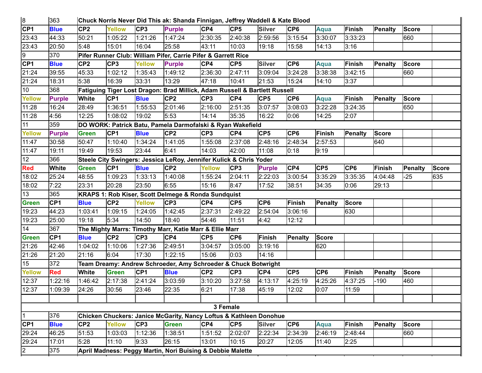| CP1<br>CP <sub>2</sub><br>CP <sub>3</sub><br>CP4<br>CP <sub>5</sub><br><b>Silver</b><br>CP <sub>6</sub><br><b>Blue</b><br><b>Yellow</b><br><b>Purple</b><br>Aqua<br><b>Finish</b><br>Penalty<br><b>Score</b><br>23:43<br>44:33<br>50:21<br>1:05:22<br>1:47:24<br>2:30:35<br>2:40:38<br>2:59:56<br>3:15:54<br>3:33:23<br>660<br>1:21:26<br>3:30:07<br>23:43<br>5:48<br>15:01<br>16:04<br>25:58<br>43:11<br>10:03<br>19:18<br>15:58<br>14:13<br>3:16<br>20:50<br>370<br>9<br>Pifer Runner Club: William Pifer, Carrie Pifer & Garrett Rice<br>CP <sub>1</sub><br>CP <sub>3</sub><br>CP4<br>CP <sub>5</sub><br><b>Silver</b><br>CP <sub>6</sub><br>CP <sub>2</sub><br><b>Yellow</b><br><b>Purple</b><br><b>Finish</b><br><b>Blue</b><br>Aqua<br>Penalty<br><b>Score</b><br>2:36:30<br>3:09:04<br>21:24<br>45:33<br>2:47:11<br>3:24:28<br>3:38:38<br>3:42:15<br>660<br>39:55<br>1:02:12<br>1:35:43<br>1:49:12<br>21:24<br>33:31<br>47:18<br>21:53<br>18:31<br>5:38<br>16:39<br>13:29<br>10:41<br>15:24<br>14:10<br>3:37<br>368<br>10<br>Fatiguing Tiger Lost Dragon: Brad Millick, Adam Russell & Bartlett Russell<br>CP <sub>2</sub><br>CP4<br>CP <sub>5</sub><br>White<br>CP <sub>1</sub><br>CP <sub>3</sub><br>CP <sub>6</sub><br><b>Finish</b><br><b>Yellow</b><br><b>Purple</b><br><b>Blue</b><br>Penalty<br><b>Score</b><br><b>Aqua</b><br>2:01:46<br>11:28<br>1:36:51<br>1:55:53<br>2:16:00<br>2:51:35<br>3:07:57<br>3:08:03<br>3:22:28<br>3:24:35<br>650<br>16:24<br>28:49<br>11:28<br>4:56<br>12:25<br>19:02<br>5:53<br>14:14<br>35:35<br>16:22<br>14:25<br>1:08:02<br>0:06<br>2:07<br>11<br>359<br>DO WORK: Patrick Batu, Pamela Darmofalski & Ryan Wakefield<br>CP <sub>2</sub><br>CP <sub>3</sub><br>CP4<br>CP <sub>5</sub><br>CP <sub>6</sub><br>CP <sub>1</sub><br><b>Blue</b><br><b>Finish</b><br><b>Score</b><br><b>Yellow</b><br><b>Purple</b><br><b>Green</b><br>Penalty<br>11:47<br>640<br>1:41:05<br>2:37:08<br>2:48:16<br>30:58<br>1:10:40<br>1:34:24<br>1:55:08<br>2:48:34<br>2:57:53<br>50:47<br>11:47<br>19:53<br>23:44<br>6:41<br>14:03<br>42:00<br>19:11<br>19:49<br>11:08<br>0:18<br>9:19<br>12<br>366<br>Steele City Swingers: Jessica LeRoy, Jennifer Kulick & Chris Yoder<br>CP <sub>5</sub><br>CP <sub>1</sub><br>CP <sub>2</sub><br>CP <sub>3</sub><br>CP4<br>CP <sub>6</sub><br>Finish<br><b>Red</b><br><b>White</b><br><b>Blue</b><br><b>Yellow</b><br><b>Green</b><br><b>Purple</b><br><b>Penalty</b><br>18:02<br>25:24<br>48:55<br>1:33:13<br>1:40:08<br>2:04:11<br>2:22:03<br>3:00:54<br>3:35:29<br>3:35:35<br>635<br>1:09:23<br>1:55:24<br>4:04:48<br>$-25$<br>23:50<br>8:47<br>18:02<br>7:22<br>23:31<br>20:28<br>6:55<br>15:16<br>17:52<br>34:35<br>29:13<br>38:51<br>0:06<br>13<br>365<br>KRAPS 1: Rob Kiser, Scott Delmege & Ronda Sundquist<br>CP <sub>3</sub><br>CP4<br>CP <sub>5</sub><br>CP <sub>6</sub><br>Finish<br>CP <sub>1</sub><br>CP <sub>2</sub><br><b>Green</b><br><b>Yellow</b><br><b>Penalty</b><br><b>Score</b><br><b>Blue</b><br>2:37:31<br>2:49:22<br>2:54:04<br>630<br>19:23<br>1:24:05<br>1:42:45<br>44:23<br>1:03:41<br>1:09:15<br>3:06:16<br>19:18<br>5:34<br>14:50<br>18:40<br>54:46<br>19:23<br>25:00<br>11:51<br>4:42<br>12:12<br>14<br>367<br>The Mighty Marrs: Timothy Marr, Katie Marr & Ellie Marr<br>CP <sub>2</sub><br>CP4<br><b>Green</b><br>CP <sub>1</sub><br>CP <sub>3</sub><br>CP <sub>5</sub><br>CP <sub>6</sub><br>Finish<br>Penalty<br><b>Score</b><br><b>Blue</b><br>21:26<br>1:04:02<br>1:10:06<br>1:27:36<br>2:49:51<br>3:04:57<br>3:05:00<br>3:19:16<br>620<br>42:46<br>21:26<br>17:30<br>1:22:15<br>15:06<br>0:03<br>21:16<br>6:04<br>14:16<br>21:20 | 8 | 363 |  | Chuck Norris Never Did This ak: Shanda Finnigan, Jeffrey Waddell & Kate Blood |  |  |  |  |              |
|----------------------------------------------------------------------------------------------------------------------------------------------------------------------------------------------------------------------------------------------------------------------------------------------------------------------------------------------------------------------------------------------------------------------------------------------------------------------------------------------------------------------------------------------------------------------------------------------------------------------------------------------------------------------------------------------------------------------------------------------------------------------------------------------------------------------------------------------------------------------------------------------------------------------------------------------------------------------------------------------------------------------------------------------------------------------------------------------------------------------------------------------------------------------------------------------------------------------------------------------------------------------------------------------------------------------------------------------------------------------------------------------------------------------------------------------------------------------------------------------------------------------------------------------------------------------------------------------------------------------------------------------------------------------------------------------------------------------------------------------------------------------------------------------------------------------------------------------------------------------------------------------------------------------------------------------------------------------------------------------------------------------------------------------------------------------------------------------------------------------------------------------------------------------------------------------------------------------------------------------------------------------------------------------------------------------------------------------------------------------------------------------------------------------------------------------------------------------------------------------------------------------------------------------------------------------------------------------------------------------------------------------------------------------------------------------------------------------------------------------------------------------------------------------------------------------------------------------------------------------------------------------------------------------------------------------------------------------------------------------------------------------------------------------------------------------------------------------------------------------------------------------------------------------------------------------------------------------------------------------------------------------------------------------------------------------------------------------------------------------------------------------------------------------------------------------------------------------------------------------------------------------------------------------------------------------------------------------------------------------------------------|---|-----|--|-------------------------------------------------------------------------------|--|--|--|--|--------------|
|                                                                                                                                                                                                                                                                                                                                                                                                                                                                                                                                                                                                                                                                                                                                                                                                                                                                                                                                                                                                                                                                                                                                                                                                                                                                                                                                                                                                                                                                                                                                                                                                                                                                                                                                                                                                                                                                                                                                                                                                                                                                                                                                                                                                                                                                                                                                                                                                                                                                                                                                                                                                                                                                                                                                                                                                                                                                                                                                                                                                                                                                                                                                                                                                                                                                                                                                                                                                                                                                                                                                                                                                                                        |   |     |  |                                                                               |  |  |  |  |              |
|                                                                                                                                                                                                                                                                                                                                                                                                                                                                                                                                                                                                                                                                                                                                                                                                                                                                                                                                                                                                                                                                                                                                                                                                                                                                                                                                                                                                                                                                                                                                                                                                                                                                                                                                                                                                                                                                                                                                                                                                                                                                                                                                                                                                                                                                                                                                                                                                                                                                                                                                                                                                                                                                                                                                                                                                                                                                                                                                                                                                                                                                                                                                                                                                                                                                                                                                                                                                                                                                                                                                                                                                                                        |   |     |  |                                                                               |  |  |  |  |              |
|                                                                                                                                                                                                                                                                                                                                                                                                                                                                                                                                                                                                                                                                                                                                                                                                                                                                                                                                                                                                                                                                                                                                                                                                                                                                                                                                                                                                                                                                                                                                                                                                                                                                                                                                                                                                                                                                                                                                                                                                                                                                                                                                                                                                                                                                                                                                                                                                                                                                                                                                                                                                                                                                                                                                                                                                                                                                                                                                                                                                                                                                                                                                                                                                                                                                                                                                                                                                                                                                                                                                                                                                                                        |   |     |  |                                                                               |  |  |  |  |              |
|                                                                                                                                                                                                                                                                                                                                                                                                                                                                                                                                                                                                                                                                                                                                                                                                                                                                                                                                                                                                                                                                                                                                                                                                                                                                                                                                                                                                                                                                                                                                                                                                                                                                                                                                                                                                                                                                                                                                                                                                                                                                                                                                                                                                                                                                                                                                                                                                                                                                                                                                                                                                                                                                                                                                                                                                                                                                                                                                                                                                                                                                                                                                                                                                                                                                                                                                                                                                                                                                                                                                                                                                                                        |   |     |  |                                                                               |  |  |  |  |              |
|                                                                                                                                                                                                                                                                                                                                                                                                                                                                                                                                                                                                                                                                                                                                                                                                                                                                                                                                                                                                                                                                                                                                                                                                                                                                                                                                                                                                                                                                                                                                                                                                                                                                                                                                                                                                                                                                                                                                                                                                                                                                                                                                                                                                                                                                                                                                                                                                                                                                                                                                                                                                                                                                                                                                                                                                                                                                                                                                                                                                                                                                                                                                                                                                                                                                                                                                                                                                                                                                                                                                                                                                                                        |   |     |  |                                                                               |  |  |  |  |              |
|                                                                                                                                                                                                                                                                                                                                                                                                                                                                                                                                                                                                                                                                                                                                                                                                                                                                                                                                                                                                                                                                                                                                                                                                                                                                                                                                                                                                                                                                                                                                                                                                                                                                                                                                                                                                                                                                                                                                                                                                                                                                                                                                                                                                                                                                                                                                                                                                                                                                                                                                                                                                                                                                                                                                                                                                                                                                                                                                                                                                                                                                                                                                                                                                                                                                                                                                                                                                                                                                                                                                                                                                                                        |   |     |  |                                                                               |  |  |  |  |              |
|                                                                                                                                                                                                                                                                                                                                                                                                                                                                                                                                                                                                                                                                                                                                                                                                                                                                                                                                                                                                                                                                                                                                                                                                                                                                                                                                                                                                                                                                                                                                                                                                                                                                                                                                                                                                                                                                                                                                                                                                                                                                                                                                                                                                                                                                                                                                                                                                                                                                                                                                                                                                                                                                                                                                                                                                                                                                                                                                                                                                                                                                                                                                                                                                                                                                                                                                                                                                                                                                                                                                                                                                                                        |   |     |  |                                                                               |  |  |  |  |              |
|                                                                                                                                                                                                                                                                                                                                                                                                                                                                                                                                                                                                                                                                                                                                                                                                                                                                                                                                                                                                                                                                                                                                                                                                                                                                                                                                                                                                                                                                                                                                                                                                                                                                                                                                                                                                                                                                                                                                                                                                                                                                                                                                                                                                                                                                                                                                                                                                                                                                                                                                                                                                                                                                                                                                                                                                                                                                                                                                                                                                                                                                                                                                                                                                                                                                                                                                                                                                                                                                                                                                                                                                                                        |   |     |  |                                                                               |  |  |  |  |              |
|                                                                                                                                                                                                                                                                                                                                                                                                                                                                                                                                                                                                                                                                                                                                                                                                                                                                                                                                                                                                                                                                                                                                                                                                                                                                                                                                                                                                                                                                                                                                                                                                                                                                                                                                                                                                                                                                                                                                                                                                                                                                                                                                                                                                                                                                                                                                                                                                                                                                                                                                                                                                                                                                                                                                                                                                                                                                                                                                                                                                                                                                                                                                                                                                                                                                                                                                                                                                                                                                                                                                                                                                                                        |   |     |  |                                                                               |  |  |  |  |              |
|                                                                                                                                                                                                                                                                                                                                                                                                                                                                                                                                                                                                                                                                                                                                                                                                                                                                                                                                                                                                                                                                                                                                                                                                                                                                                                                                                                                                                                                                                                                                                                                                                                                                                                                                                                                                                                                                                                                                                                                                                                                                                                                                                                                                                                                                                                                                                                                                                                                                                                                                                                                                                                                                                                                                                                                                                                                                                                                                                                                                                                                                                                                                                                                                                                                                                                                                                                                                                                                                                                                                                                                                                                        |   |     |  |                                                                               |  |  |  |  |              |
|                                                                                                                                                                                                                                                                                                                                                                                                                                                                                                                                                                                                                                                                                                                                                                                                                                                                                                                                                                                                                                                                                                                                                                                                                                                                                                                                                                                                                                                                                                                                                                                                                                                                                                                                                                                                                                                                                                                                                                                                                                                                                                                                                                                                                                                                                                                                                                                                                                                                                                                                                                                                                                                                                                                                                                                                                                                                                                                                                                                                                                                                                                                                                                                                                                                                                                                                                                                                                                                                                                                                                                                                                                        |   |     |  |                                                                               |  |  |  |  |              |
|                                                                                                                                                                                                                                                                                                                                                                                                                                                                                                                                                                                                                                                                                                                                                                                                                                                                                                                                                                                                                                                                                                                                                                                                                                                                                                                                                                                                                                                                                                                                                                                                                                                                                                                                                                                                                                                                                                                                                                                                                                                                                                                                                                                                                                                                                                                                                                                                                                                                                                                                                                                                                                                                                                                                                                                                                                                                                                                                                                                                                                                                                                                                                                                                                                                                                                                                                                                                                                                                                                                                                                                                                                        |   |     |  |                                                                               |  |  |  |  |              |
|                                                                                                                                                                                                                                                                                                                                                                                                                                                                                                                                                                                                                                                                                                                                                                                                                                                                                                                                                                                                                                                                                                                                                                                                                                                                                                                                                                                                                                                                                                                                                                                                                                                                                                                                                                                                                                                                                                                                                                                                                                                                                                                                                                                                                                                                                                                                                                                                                                                                                                                                                                                                                                                                                                                                                                                                                                                                                                                                                                                                                                                                                                                                                                                                                                                                                                                                                                                                                                                                                                                                                                                                                                        |   |     |  |                                                                               |  |  |  |  |              |
|                                                                                                                                                                                                                                                                                                                                                                                                                                                                                                                                                                                                                                                                                                                                                                                                                                                                                                                                                                                                                                                                                                                                                                                                                                                                                                                                                                                                                                                                                                                                                                                                                                                                                                                                                                                                                                                                                                                                                                                                                                                                                                                                                                                                                                                                                                                                                                                                                                                                                                                                                                                                                                                                                                                                                                                                                                                                                                                                                                                                                                                                                                                                                                                                                                                                                                                                                                                                                                                                                                                                                                                                                                        |   |     |  |                                                                               |  |  |  |  |              |
|                                                                                                                                                                                                                                                                                                                                                                                                                                                                                                                                                                                                                                                                                                                                                                                                                                                                                                                                                                                                                                                                                                                                                                                                                                                                                                                                                                                                                                                                                                                                                                                                                                                                                                                                                                                                                                                                                                                                                                                                                                                                                                                                                                                                                                                                                                                                                                                                                                                                                                                                                                                                                                                                                                                                                                                                                                                                                                                                                                                                                                                                                                                                                                                                                                                                                                                                                                                                                                                                                                                                                                                                                                        |   |     |  |                                                                               |  |  |  |  |              |
|                                                                                                                                                                                                                                                                                                                                                                                                                                                                                                                                                                                                                                                                                                                                                                                                                                                                                                                                                                                                                                                                                                                                                                                                                                                                                                                                                                                                                                                                                                                                                                                                                                                                                                                                                                                                                                                                                                                                                                                                                                                                                                                                                                                                                                                                                                                                                                                                                                                                                                                                                                                                                                                                                                                                                                                                                                                                                                                                                                                                                                                                                                                                                                                                                                                                                                                                                                                                                                                                                                                                                                                                                                        |   |     |  |                                                                               |  |  |  |  |              |
|                                                                                                                                                                                                                                                                                                                                                                                                                                                                                                                                                                                                                                                                                                                                                                                                                                                                                                                                                                                                                                                                                                                                                                                                                                                                                                                                                                                                                                                                                                                                                                                                                                                                                                                                                                                                                                                                                                                                                                                                                                                                                                                                                                                                                                                                                                                                                                                                                                                                                                                                                                                                                                                                                                                                                                                                                                                                                                                                                                                                                                                                                                                                                                                                                                                                                                                                                                                                                                                                                                                                                                                                                                        |   |     |  |                                                                               |  |  |  |  | <b>Score</b> |
|                                                                                                                                                                                                                                                                                                                                                                                                                                                                                                                                                                                                                                                                                                                                                                                                                                                                                                                                                                                                                                                                                                                                                                                                                                                                                                                                                                                                                                                                                                                                                                                                                                                                                                                                                                                                                                                                                                                                                                                                                                                                                                                                                                                                                                                                                                                                                                                                                                                                                                                                                                                                                                                                                                                                                                                                                                                                                                                                                                                                                                                                                                                                                                                                                                                                                                                                                                                                                                                                                                                                                                                                                                        |   |     |  |                                                                               |  |  |  |  |              |
|                                                                                                                                                                                                                                                                                                                                                                                                                                                                                                                                                                                                                                                                                                                                                                                                                                                                                                                                                                                                                                                                                                                                                                                                                                                                                                                                                                                                                                                                                                                                                                                                                                                                                                                                                                                                                                                                                                                                                                                                                                                                                                                                                                                                                                                                                                                                                                                                                                                                                                                                                                                                                                                                                                                                                                                                                                                                                                                                                                                                                                                                                                                                                                                                                                                                                                                                                                                                                                                                                                                                                                                                                                        |   |     |  |                                                                               |  |  |  |  |              |
|                                                                                                                                                                                                                                                                                                                                                                                                                                                                                                                                                                                                                                                                                                                                                                                                                                                                                                                                                                                                                                                                                                                                                                                                                                                                                                                                                                                                                                                                                                                                                                                                                                                                                                                                                                                                                                                                                                                                                                                                                                                                                                                                                                                                                                                                                                                                                                                                                                                                                                                                                                                                                                                                                                                                                                                                                                                                                                                                                                                                                                                                                                                                                                                                                                                                                                                                                                                                                                                                                                                                                                                                                                        |   |     |  |                                                                               |  |  |  |  |              |
|                                                                                                                                                                                                                                                                                                                                                                                                                                                                                                                                                                                                                                                                                                                                                                                                                                                                                                                                                                                                                                                                                                                                                                                                                                                                                                                                                                                                                                                                                                                                                                                                                                                                                                                                                                                                                                                                                                                                                                                                                                                                                                                                                                                                                                                                                                                                                                                                                                                                                                                                                                                                                                                                                                                                                                                                                                                                                                                                                                                                                                                                                                                                                                                                                                                                                                                                                                                                                                                                                                                                                                                                                                        |   |     |  |                                                                               |  |  |  |  |              |
|                                                                                                                                                                                                                                                                                                                                                                                                                                                                                                                                                                                                                                                                                                                                                                                                                                                                                                                                                                                                                                                                                                                                                                                                                                                                                                                                                                                                                                                                                                                                                                                                                                                                                                                                                                                                                                                                                                                                                                                                                                                                                                                                                                                                                                                                                                                                                                                                                                                                                                                                                                                                                                                                                                                                                                                                                                                                                                                                                                                                                                                                                                                                                                                                                                                                                                                                                                                                                                                                                                                                                                                                                                        |   |     |  |                                                                               |  |  |  |  |              |
|                                                                                                                                                                                                                                                                                                                                                                                                                                                                                                                                                                                                                                                                                                                                                                                                                                                                                                                                                                                                                                                                                                                                                                                                                                                                                                                                                                                                                                                                                                                                                                                                                                                                                                                                                                                                                                                                                                                                                                                                                                                                                                                                                                                                                                                                                                                                                                                                                                                                                                                                                                                                                                                                                                                                                                                                                                                                                                                                                                                                                                                                                                                                                                                                                                                                                                                                                                                                                                                                                                                                                                                                                                        |   |     |  |                                                                               |  |  |  |  |              |
|                                                                                                                                                                                                                                                                                                                                                                                                                                                                                                                                                                                                                                                                                                                                                                                                                                                                                                                                                                                                                                                                                                                                                                                                                                                                                                                                                                                                                                                                                                                                                                                                                                                                                                                                                                                                                                                                                                                                                                                                                                                                                                                                                                                                                                                                                                                                                                                                                                                                                                                                                                                                                                                                                                                                                                                                                                                                                                                                                                                                                                                                                                                                                                                                                                                                                                                                                                                                                                                                                                                                                                                                                                        |   |     |  |                                                                               |  |  |  |  |              |
|                                                                                                                                                                                                                                                                                                                                                                                                                                                                                                                                                                                                                                                                                                                                                                                                                                                                                                                                                                                                                                                                                                                                                                                                                                                                                                                                                                                                                                                                                                                                                                                                                                                                                                                                                                                                                                                                                                                                                                                                                                                                                                                                                                                                                                                                                                                                                                                                                                                                                                                                                                                                                                                                                                                                                                                                                                                                                                                                                                                                                                                                                                                                                                                                                                                                                                                                                                                                                                                                                                                                                                                                                                        |   |     |  |                                                                               |  |  |  |  |              |
|                                                                                                                                                                                                                                                                                                                                                                                                                                                                                                                                                                                                                                                                                                                                                                                                                                                                                                                                                                                                                                                                                                                                                                                                                                                                                                                                                                                                                                                                                                                                                                                                                                                                                                                                                                                                                                                                                                                                                                                                                                                                                                                                                                                                                                                                                                                                                                                                                                                                                                                                                                                                                                                                                                                                                                                                                                                                                                                                                                                                                                                                                                                                                                                                                                                                                                                                                                                                                                                                                                                                                                                                                                        |   |     |  |                                                                               |  |  |  |  |              |
|                                                                                                                                                                                                                                                                                                                                                                                                                                                                                                                                                                                                                                                                                                                                                                                                                                                                                                                                                                                                                                                                                                                                                                                                                                                                                                                                                                                                                                                                                                                                                                                                                                                                                                                                                                                                                                                                                                                                                                                                                                                                                                                                                                                                                                                                                                                                                                                                                                                                                                                                                                                                                                                                                                                                                                                                                                                                                                                                                                                                                                                                                                                                                                                                                                                                                                                                                                                                                                                                                                                                                                                                                                        |   |     |  |                                                                               |  |  |  |  |              |
| 15<br>372<br>Team Dreamy: Andrew Schroeder, Amy Schroeder & Chuck Botwright                                                                                                                                                                                                                                                                                                                                                                                                                                                                                                                                                                                                                                                                                                                                                                                                                                                                                                                                                                                                                                                                                                                                                                                                                                                                                                                                                                                                                                                                                                                                                                                                                                                                                                                                                                                                                                                                                                                                                                                                                                                                                                                                                                                                                                                                                                                                                                                                                                                                                                                                                                                                                                                                                                                                                                                                                                                                                                                                                                                                                                                                                                                                                                                                                                                                                                                                                                                                                                                                                                                                                            |   |     |  |                                                                               |  |  |  |  |              |
| <b>Red</b><br>White<br>CP <sub>1</sub><br>CP <sub>2</sub><br>CP <sub>3</sub><br>CP4<br>CP <sub>5</sub><br>CP <sub>6</sub><br>Finish<br><b>Blue</b><br>Penalty<br><b>Yellow</b><br><b>Green</b><br><b>Score</b>                                                                                                                                                                                                                                                                                                                                                                                                                                                                                                                                                                                                                                                                                                                                                                                                                                                                                                                                                                                                                                                                                                                                                                                                                                                                                                                                                                                                                                                                                                                                                                                                                                                                                                                                                                                                                                                                                                                                                                                                                                                                                                                                                                                                                                                                                                                                                                                                                                                                                                                                                                                                                                                                                                                                                                                                                                                                                                                                                                                                                                                                                                                                                                                                                                                                                                                                                                                                                         |   |     |  |                                                                               |  |  |  |  |              |
| 3:10:20<br>12:37<br>3:27:58<br>2:41:24<br>3:03:59<br>4:13:17<br>4:25:19<br>4:25:26<br>4:37:25<br>$-190$<br>460<br>1:22:16<br>1:46:42<br>2:17:38                                                                                                                                                                                                                                                                                                                                                                                                                                                                                                                                                                                                                                                                                                                                                                                                                                                                                                                                                                                                                                                                                                                                                                                                                                                                                                                                                                                                                                                                                                                                                                                                                                                                                                                                                                                                                                                                                                                                                                                                                                                                                                                                                                                                                                                                                                                                                                                                                                                                                                                                                                                                                                                                                                                                                                                                                                                                                                                                                                                                                                                                                                                                                                                                                                                                                                                                                                                                                                                                                        |   |     |  |                                                                               |  |  |  |  |              |
| 12:37<br>1:09:39<br>24:26<br>30:56<br>23:46<br>22:35<br>6:21<br>17:38<br>45:19<br>12:02<br>0:07<br>11:59                                                                                                                                                                                                                                                                                                                                                                                                                                                                                                                                                                                                                                                                                                                                                                                                                                                                                                                                                                                                                                                                                                                                                                                                                                                                                                                                                                                                                                                                                                                                                                                                                                                                                                                                                                                                                                                                                                                                                                                                                                                                                                                                                                                                                                                                                                                                                                                                                                                                                                                                                                                                                                                                                                                                                                                                                                                                                                                                                                                                                                                                                                                                                                                                                                                                                                                                                                                                                                                                                                                               |   |     |  |                                                                               |  |  |  |  |              |
|                                                                                                                                                                                                                                                                                                                                                                                                                                                                                                                                                                                                                                                                                                                                                                                                                                                                                                                                                                                                                                                                                                                                                                                                                                                                                                                                                                                                                                                                                                                                                                                                                                                                                                                                                                                                                                                                                                                                                                                                                                                                                                                                                                                                                                                                                                                                                                                                                                                                                                                                                                                                                                                                                                                                                                                                                                                                                                                                                                                                                                                                                                                                                                                                                                                                                                                                                                                                                                                                                                                                                                                                                                        |   |     |  |                                                                               |  |  |  |  |              |
| 3 Female                                                                                                                                                                                                                                                                                                                                                                                                                                                                                                                                                                                                                                                                                                                                                                                                                                                                                                                                                                                                                                                                                                                                                                                                                                                                                                                                                                                                                                                                                                                                                                                                                                                                                                                                                                                                                                                                                                                                                                                                                                                                                                                                                                                                                                                                                                                                                                                                                                                                                                                                                                                                                                                                                                                                                                                                                                                                                                                                                                                                                                                                                                                                                                                                                                                                                                                                                                                                                                                                                                                                                                                                                               |   |     |  |                                                                               |  |  |  |  |              |
| 11<br>376<br>Chicken Chuckers: Janice McGarity, Nancy Loftus & Kathleen Donohue                                                                                                                                                                                                                                                                                                                                                                                                                                                                                                                                                                                                                                                                                                                                                                                                                                                                                                                                                                                                                                                                                                                                                                                                                                                                                                                                                                                                                                                                                                                                                                                                                                                                                                                                                                                                                                                                                                                                                                                                                                                                                                                                                                                                                                                                                                                                                                                                                                                                                                                                                                                                                                                                                                                                                                                                                                                                                                                                                                                                                                                                                                                                                                                                                                                                                                                                                                                                                                                                                                                                                        |   |     |  |                                                                               |  |  |  |  |              |
| CP1<br>CP <sub>2</sub><br>CP4<br>CP <sub>5</sub><br>CP <sub>6</sub><br><b>Blue</b><br><b>Yellow</b><br>CP <sub>3</sub><br><b>Green</b><br><b>Silver</b><br><b>Finish</b><br>Penalty<br><b>Score</b><br>Aqua                                                                                                                                                                                                                                                                                                                                                                                                                                                                                                                                                                                                                                                                                                                                                                                                                                                                                                                                                                                                                                                                                                                                                                                                                                                                                                                                                                                                                                                                                                                                                                                                                                                                                                                                                                                                                                                                                                                                                                                                                                                                                                                                                                                                                                                                                                                                                                                                                                                                                                                                                                                                                                                                                                                                                                                                                                                                                                                                                                                                                                                                                                                                                                                                                                                                                                                                                                                                                            |   |     |  |                                                                               |  |  |  |  |              |
| 29:24<br>46:25<br>51:53<br>1:03:03<br>1:12:36<br>1:38:51<br>1:51:52<br>2:02:07<br>2:22:34<br>2:34:39<br>2:46:19<br>2:48:44<br>660                                                                                                                                                                                                                                                                                                                                                                                                                                                                                                                                                                                                                                                                                                                                                                                                                                                                                                                                                                                                                                                                                                                                                                                                                                                                                                                                                                                                                                                                                                                                                                                                                                                                                                                                                                                                                                                                                                                                                                                                                                                                                                                                                                                                                                                                                                                                                                                                                                                                                                                                                                                                                                                                                                                                                                                                                                                                                                                                                                                                                                                                                                                                                                                                                                                                                                                                                                                                                                                                                                      |   |     |  |                                                                               |  |  |  |  |              |
| 11:10<br>5:28<br>9:33<br>26:15<br>13:01<br>10:15<br>20:27<br>29:24<br>17:01<br>12:05<br>11:40<br>2:25                                                                                                                                                                                                                                                                                                                                                                                                                                                                                                                                                                                                                                                                                                                                                                                                                                                                                                                                                                                                                                                                                                                                                                                                                                                                                                                                                                                                                                                                                                                                                                                                                                                                                                                                                                                                                                                                                                                                                                                                                                                                                                                                                                                                                                                                                                                                                                                                                                                                                                                                                                                                                                                                                                                                                                                                                                                                                                                                                                                                                                                                                                                                                                                                                                                                                                                                                                                                                                                                                                                                  |   |     |  |                                                                               |  |  |  |  |              |
| $\sqrt{2}$<br>375<br>April Madness: Peggy Martin, Nori Buising & Debbie Malette                                                                                                                                                                                                                                                                                                                                                                                                                                                                                                                                                                                                                                                                                                                                                                                                                                                                                                                                                                                                                                                                                                                                                                                                                                                                                                                                                                                                                                                                                                                                                                                                                                                                                                                                                                                                                                                                                                                                                                                                                                                                                                                                                                                                                                                                                                                                                                                                                                                                                                                                                                                                                                                                                                                                                                                                                                                                                                                                                                                                                                                                                                                                                                                                                                                                                                                                                                                                                                                                                                                                                        |   |     |  |                                                                               |  |  |  |  |              |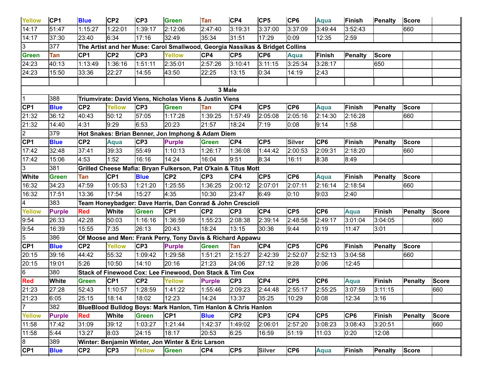| <b>Yellow</b>  | CP <sub>1</sub> | <b>Blue</b>     | CP <sub>2</sub> | CP <sub>3</sub> | <b>Green</b>                                                                 | <b>Tan</b>      | CP4             | CP <sub>5</sub> | CP <sub>6</sub> | <b>Aqua</b>     | Finish          | <b>Penalty</b> | <b>Score</b>   |              |
|----------------|-----------------|-----------------|-----------------|-----------------|------------------------------------------------------------------------------|-----------------|-----------------|-----------------|-----------------|-----------------|-----------------|----------------|----------------|--------------|
| 14:17          | 51:47           | 1:15:27         | 1:22:01         | 1:39:17         | 2:12:06                                                                      | 2:47:40         | 3:19:31         | 3:37:00         | 3:37:09         | 3:49:44         | 3:52:43         |                | 660            |              |
| 14:17          | 37:30           | 23:40           | 6:34            | 17:16           | 32:49                                                                        | 35:34           | 31:51           | 17:29           | 0:09            | 12:35           | 2:59            |                |                |              |
| 3              | 377             |                 |                 |                 | The Artist and her Muse: Carol Smallwood, Georgia Nassikas & Bridget Collins |                 |                 |                 |                 |                 |                 |                |                |              |
| Green          | Tan             | CP <sub>1</sub> | CP <sub>2</sub> | CP <sub>3</sub> | Yellow                                                                       | CP4             | CP <sub>5</sub> | CP <sub>6</sub> | <b>Aqua</b>     | Finish          | <b>Penalty</b>  | <b>Score</b>   |                |              |
| 24:23          | 40:13           | 1:13:49         | 1:36:16         | 1:51:11         | 2:35:01                                                                      | 2:57:26         | 3:10:41         | 3:11:15         | 3:25:34         | 3:28:17         |                 | 650            |                |              |
| 24:23          | 15:50           | 33:36           | 22:27           | 14:55           | 43:50                                                                        | 22:25           | 13:15           | 0:34            | 14:19           | 2:43            |                 |                |                |              |
|                |                 |                 |                 |                 |                                                                              |                 |                 |                 |                 |                 |                 |                |                |              |
|                |                 |                 |                 |                 |                                                                              |                 | 3 Male          |                 |                 |                 |                 |                |                |              |
| I1             | 388             |                 |                 |                 | Triumvirate: David Viens, Nicholas Viens & Justin Viens                      |                 |                 |                 |                 |                 |                 |                |                |              |
| CP1            | <b>Blue</b>     | CP <sub>2</sub> | <b>Yellow</b>   | CP <sub>3</sub> | <b>Green</b>                                                                 | <b>Tan</b>      | CP4             | CP <sub>5</sub> | CP <sub>6</sub> | <b>Aqua</b>     | Finish          | Penalty        | <b>Score</b>   |              |
| 21:32          | 36:12           | 40:43           | 50:12           | 57:05           | 1:17:28                                                                      | 1:39:25         | 1:57:49         | 2:05:08         | 2:05:16         | 2:14:30         | 2:16:28         |                | 660            |              |
| 21:32          | 14:40           | 4:31            | 9:29            | 6:53            | 20:23                                                                        | 21:57           | 18:24           | 7:19            | 0:08            | 9:14            | 1:58            |                |                |              |
| $\overline{2}$ | 379             |                 |                 |                 | Hot Snakes: Brian Benner, Jon Imphong & Adam Diem                            |                 |                 |                 |                 |                 |                 |                |                |              |
| CP1            | <b>Blue</b>     | CP <sub>2</sub> | <b>Aqua</b>     | CP <sub>3</sub> | <b>Purple</b>                                                                | <b>Green</b>    | CP4             | CP <sub>5</sub> | <b>Silver</b>   | CP <sub>6</sub> | Finish          | Penalty        | <b>Score</b>   |              |
| 17:42          | 32:48           | 37:41           | 39:33           | 55:49           | 1:10:13                                                                      | 1:26:17         | 1:36:08         | 1:44:42         | 2:00:53         | 2:09:31         | 2:18:20         |                | 660            |              |
| 17:42          | 15:06           | 4:53            | 1:52            | 16:16           | 14:24                                                                        | 16:04           | 9:51            | 8:34            | 16:11           | 8:38            | 8:49            |                |                |              |
| IЗ             | 381             |                 |                 |                 | Grilled Cheese Mafia: Bryan Fulkerson, Pat O'kain & Titus Mott               |                 |                 |                 |                 |                 |                 |                |                |              |
| <b>White</b>   | <b>Green</b>    | <b>Tan</b>      | CP <sub>1</sub> | <b>Blue</b>     | CP <sub>2</sub>                                                              | CP <sub>3</sub> | CP4             | CP <sub>5</sub> | CP <sub>6</sub> | <b>Aqua</b>     | <b>Finish</b>   | Penalty        | <b>Score</b>   |              |
| 16:32          | 34:23           | 47:59           | 1:05:53         | 1:21:20         | 1:25:55                                                                      | 1:36:25         | 2:00:12         | 2:07:01         | 2:07:11         | 2:16:14         | 2:18:54         |                | 660            |              |
| 16:32          | 17:51           | 13:36           | 17:54           | 15:27           | 4:35                                                                         | 10:30           | 23:47           | 6:49            | 0:10            | 9:03            | 2:40            |                |                |              |
|                | 383             |                 |                 |                 | Team Honeybadger: Dave Harris, Dan Conrad & John Crescioli                   |                 |                 |                 |                 |                 |                 |                |                |              |
| <b>Yellow</b>  | <b>Purple</b>   | <b>Red</b>      | <b>White</b>    | <b>Green</b>    | CP <sub>1</sub>                                                              | CP <sub>2</sub> | CP <sub>3</sub> | CP4             | CP <sub>5</sub> | CP <sub>6</sub> | <b>Aqua</b>     | Finish         | <b>Penalty</b> | <b>Score</b> |
| 9:54           | 26:33           | 42:28           | 50:03           | 1:16:16         | 1:36:59                                                                      | 1:55:23         | 2:08:38         | 2:39:14         | 2:48:58         | 2:49:17         | 3:01:04         | 3:04:05        |                | 660          |
| 9:54           | 16:39           | 15:55           | 7:35            | 26:13           | 20:43                                                                        | 18:24           | 13:15           | 30:36           | 9:44            | 0:19            | 11:47           | 3:01           |                |              |
| 5              | 386             |                 |                 |                 | Of Moose and Men: Frank Perry, Tony Davis & Richard Appawu                   |                 |                 |                 |                 |                 |                 |                |                |              |
| CP1            | <b>Blue</b>     | CP <sub>2</sub> | <b>Yellow</b>   | CP <sub>3</sub> | <b>Purple</b>                                                                | <b>Green</b>    | Tan             | CP4             | CP <sub>5</sub> | CP <sub>6</sub> | Finish          | Penalty        | <b>Score</b>   |              |
| 20:15          | 39:16           | 44:42           | 55:32           | 1:09:42         | 1:29:58                                                                      | 1:51:21         | 2:15:27         | 2:42:39         | 2:52:07         | 2:52:13         | 3:04:58         |                | 660            |              |
| 20:15          | 19:01           | 5:26            | 10:50           | 14:10           | 20:16                                                                        | 21:23           | 24:06           | 27:12           | 9:28            | 0:06            | 12:45           |                |                |              |
| l6             | 380             |                 |                 |                 | Stack of Finewood Cox: Lee Finewood, Don Stack & Tim Cox                     |                 |                 |                 |                 |                 |                 |                |                |              |
| <b>Red</b>     | <b>White</b>    | <b>Green</b>    | CP <sub>1</sub> | CP <sub>2</sub> | Yellow                                                                       | <b>Purple</b>   | CP3             | CP4             | CP <sub>5</sub> | CP <sub>6</sub> | <b>Aqua</b>     | Finish         | <b>Penalty</b> | <b>Score</b> |
| 21:23          | 27:28           | 52:43           | 1:10:57         | 1:28:59         | 1:41:22                                                                      |                 | 1:55:46 2:09:23 | 2:44:48         | 2:55:17         | 2:55:25         | 3:07:59         | 3:11:15        |                | 660          |
| 21:23          | 6:05            | 25:15           | 18:14           | 18:02           | 12:23                                                                        | 14:24           | 13:37           | 35:25           | 10:29           | 0:08            | 12:34           | 3:16           |                |              |
| 17             | 382             |                 |                 |                 | BlueBlood Bulldog Boys: Mark Hanlon, Tim Hanlon & Chris Hanlon               |                 |                 |                 |                 |                 |                 |                |                |              |
| Yellow         | <b>Purple</b>   | <b>Red</b>      | <b>White</b>    | <b>Green</b>    | CP <sub>1</sub>                                                              | <b>Blue</b>     | CP <sub>2</sub> | CP3             | CP4             | CP <sub>5</sub> | CP <sub>6</sub> | Finish         | <b>Penalty</b> | <b>Score</b> |
| 11:58          | 17:42           | 31:09           | 39:12           | 1:03:27         | 1:21:44                                                                      | 1:42:37         | 1:49:02         | 2:06:01         | 2:57:20         | 3:08:23         | 3:08:43         | 3:20:51        |                | 660          |
| 11:58          | 5:44            | 13:27           | 8:03            | 24:15           | 18:17                                                                        | 20:53           | 6:25            | 16:59           | 51:19           | 11:03           | 0:20            | 12:08          |                |              |
| 8              | 389             |                 |                 |                 | Winter: Benjamin Winter, Jon Winter & Eric Larson                            |                 |                 |                 |                 |                 |                 |                |                |              |
| CP1            | <b>Blue</b>     | CP <sub>2</sub> | CP <sub>3</sub> | <b>Yellow</b>   | <b>Green</b>                                                                 | CP4             | CP5             | <b>Silver</b>   | CP6             | Aqua            | Finish          | Penalty        | <b>Score</b>   |              |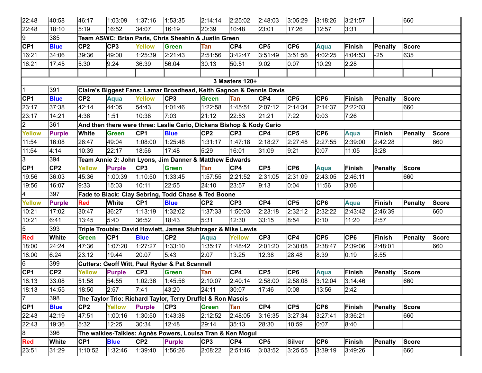| 22:48                    | 40:58           | 46:17           | 1:03:09         | 1:37:16         | 1:53:35                                                              | 2:14:14         | 2:25:02         | 2:48:03         | 3:05:29         | 3:18:26         | 3:21:57         |                | 660            |              |
|--------------------------|-----------------|-----------------|-----------------|-----------------|----------------------------------------------------------------------|-----------------|-----------------|-----------------|-----------------|-----------------|-----------------|----------------|----------------|--------------|
| 22:48                    | 18:10           | 5:19            | 16:52           | 34:07           | 16:19                                                                | 20:39           | 10:48           | 23:01           | 17:26           | 12:57           | 3:31            |                |                |              |
| 9                        | 385             |                 |                 |                 | Team ASWC: Brian Paris, Chris Sheahin & Justin Green                 |                 |                 |                 |                 |                 |                 |                |                |              |
| <b>CP1</b>               | <b>Blue</b>     | CP <sub>2</sub> | CP <sub>3</sub> | <b>Yellow</b>   | <b>Green</b>                                                         | Tan             | CP4             | CP <sub>5</sub> | CP <sub>6</sub> | Aqua            | <b>Finish</b>   | Penalty        | <b>Score</b>   |              |
| 16:21                    | 34:06           | 39:36           | 49:00           | 1:25:39         | 2:21:43                                                              | 2:51:56         | 3:42:47         | 3:51:49         | 3:51:56         | 4:02:25         | 4:04:53         | $-25$          | 635            |              |
| 16:21                    | 17:45           | 5:30            | 9:24            | 36:39           | 56:04                                                                | 30:13           | 50:51           | 9:02            | 0:07            | 10:29           | 2:28            |                |                |              |
|                          |                 |                 |                 |                 |                                                                      |                 |                 |                 |                 |                 |                 |                |                |              |
|                          |                 |                 |                 |                 |                                                                      |                 | 3 Masters 120+  |                 |                 |                 |                 |                |                |              |
| $\overline{1}$           | 391             |                 |                 |                 | Claire's Biggest Fans: Lamar Broadhead, Keith Gagnon & Dennis Davis  |                 |                 |                 |                 |                 |                 |                |                |              |
| CP1                      | <b>Blue</b>     | CP <sub>2</sub> | <b>Aqua</b>     | <b>Yellow</b>   | CP <sub>3</sub>                                                      | <b>Green</b>    | Tan             | CP4             | CP <sub>5</sub> | CP <sub>6</sub> | Finish          | <b>Penalty</b> | <b>Score</b>   |              |
| 23:17                    | 37:38           | 42:14           | 44:05           | 54:43           | 1:01:46                                                              | 1:22:58         | 1:45:51         | 2:07:12         | 2:14:34         | 2:14:37         | 2:22:03         |                | 660            |              |
| 23:17                    | 14:21           | 4:36            | 1:51            | 10:38           | 7:03                                                                 | 21:12           | 22:53           | 21:21           | 7:22            | 0:03            | 7:26            |                |                |              |
| $\overline{2}$           | 361             |                 |                 |                 | And then there were three: Leslie Cario, Dickens Bishop & Kody Cario |                 |                 |                 |                 |                 |                 |                |                |              |
| <b>Yellow</b>            | <b>Purple</b>   | <b>White</b>    | <b>Green</b>    | CP <sub>1</sub> | <b>Blue</b>                                                          | CP <sub>2</sub> | CP <sub>3</sub> | CP4             | CP <sub>5</sub> | CP <sub>6</sub> | <b>Aqua</b>     | <b>Finish</b>  | Penalty        | <b>Score</b> |
| 11:54                    | 16:08           | 26:47           | 49:04           | 1:08:00         | 1:25:48                                                              | 1:31:17         | 1:47:18         | 2:18:27         | 2:27:48         | 2:27:55         | 2:39:00         | 2:42:28        |                | 660          |
| 11:54                    | 4:14            | 10:39           | 22:17           | 18:56           | 17:48                                                                | 5:29            | 16:01           | 31:09           | 9:21            | 0:07            | 11:05           | 3:28           |                |              |
| 3                        | 394             |                 |                 |                 | Team Annie 2: John Lyons, Jim Danner & Matthew Edwards               |                 |                 |                 |                 |                 |                 |                |                |              |
| CF1                      | CP <sub>2</sub> | Yellow          | <b>Purple</b>   | CP <sub>3</sub> | <b>Green</b>                                                         | Tan             | CP4             | CP5             | CP <sub>6</sub> | Aqua            | Finish          | <b>Penalty</b> | <b>Score</b>   |              |
| 19:56                    | 36:03           | 45:36           | 1:00:39         | 1:10:50         | 1:33:45                                                              | 1:57:55         | 2:21:52         | 2:31:05         | 2:31:09         | 2:43:05         | 2:46:11         |                | 660            |              |
| 19:56                    | 16:07           | 9:33            | 15:03           | 10:11           | 22:55                                                                | 24:10           | 23:57           | 9:13            | 0:04            | 11:56           | 3:06            |                |                |              |
| $\overline{\mathcal{A}}$ | 397             |                 |                 |                 | Fade to Black: Clay Sebring, Todd Chase & Ted Boone                  |                 |                 |                 |                 |                 |                 |                |                |              |
| <b>Yellow</b>            | <b>Purple</b>   | <b>Red</b>      | <b>White</b>    | CP <sub>1</sub> | <b>Blue</b>                                                          | CP <sub>2</sub> | CP <sub>3</sub> | CP4             | CP <sub>5</sub> | CP <sub>6</sub> | <b>Aqua</b>     | Finish         | <b>Penalty</b> | <b>Score</b> |
| 10:21                    | 17:02           | 30:47           | 36:27           | 1:13:19         | 1:32:02                                                              | 1:37:33         | 1:50:03         | 2:23:18         | 2:32:12         | 2:32:22         | 2:43:42         | 2:46:39        |                | 660          |
| 10:21                    | 6:41            | 13:45           | 5:40            | 36:52           | 18:43                                                                | 5:31            | 12:30           | 33:15           | 8:54            | 0:10            | 11:20           | 2:57           |                |              |
| 5                        | 393             |                 |                 |                 | Triple Trouble: David Howlett, James Stuhtrager & Mike Lewis         |                 |                 |                 |                 |                 |                 |                |                |              |
| <b>Red</b>               | White           | <b>Green</b>    | CP <sub>1</sub> | <b>Blue</b>     | CP <sub>2</sub>                                                      | Aqua            | <b>Yellow</b>   | CP <sub>3</sub> | CP4             | CP <sub>5</sub> | CP <sub>6</sub> | Finish         | <b>Penalty</b> | <b>Score</b> |
| 18:00                    | 24:24           | 47:36           | 1:07:20         | 1:27:27         | 1:33:10                                                              | 1:35:17         | 1:48:42         | 2:01:20         | 2:30:08         | 2:38:47         | 2:39:06         | 2:48:01        |                | 660          |
| 18:00                    | 6:24            | 23:12           | 19:44           | 20:07           | 5:43                                                                 | 2:07            | 13:25           | 12:38           | 28:48           | 8:39            | 0:19            | 8:55           |                |              |
| 16                       | 399             |                 |                 |                 | Cutters: Geoff Witt, Paul Ryder & Pat Scannell                       |                 |                 |                 |                 |                 |                 |                |                |              |
| CF1                      | CP <sub>2</sub> | Yellow          | <b>Purple</b>   | CP <sub>3</sub> | <b>Green</b>                                                         | <b>Tan</b>      | CP4             | CP <sub>5</sub> | CP <sub>6</sub> | <b>Aqua</b>     | <b>Finish</b>   | <b>Penalty</b> | <b>Score</b>   |              |
| 18:13                    | 33:08           | 51:58           | 54:55           | 1:02:36         | 1:45:56                                                              | 2:10:07         | 2:40:14         | 2:58:00         | 2:58:08         | 3:12:04         | 3:14:46         |                | 660            |              |
| 18:13                    | 14:55           | 18:50           | 2:57            | 7:41            | 43:20                                                                | 24:11           | 30:07           | 17:46           | 0:08            | 13:56           | 2:42            |                |                |              |
| 17                       | 398             |                 |                 |                 | The Taylor Trio: Richard Taylor, Terry Druffel & Ron Mascis          |                 |                 |                 |                 |                 |                 |                |                |              |
| CP <sub>1</sub>          | <b>Blue</b>     | CP <sub>2</sub> | <b>Yellow</b>   | <b>Purple</b>   | CP3                                                                  | <b>Green</b>    | Tan             | CP4             | CP <sub>5</sub> | CP <sub>6</sub> | Finish          | <b>Penalty</b> | <b>Score</b>   |              |
| 22:43                    | 42:19           | 47:51           | 1:00:16         | 1:30:50         | 1:43:38                                                              | 2:12:52         | 2:48:05         | 3:16:35         | 3:27:34         | 3:27:41         | 3:36:21         |                | 660            |              |
| 22:43                    | 19:36           | 5:32            | 12:25           | 30:34           | 12:48                                                                | 29:14           | 35:13           | 28:30           | 10:59           | 0:07            | 8:40            |                |                |              |
| 8                        | 396             |                 |                 |                 | The walkies-Talkies: Agnès Powers, Louisa Tran & Ken Mogul           |                 |                 |                 |                 |                 |                 |                |                |              |
| <b>Red</b>               | White           | CP <sub>1</sub> | <b>Blue</b>     | CP <sub>2</sub> | <b>Purple</b>                                                        | CP3             | CP4             | CP5             | <b>Silver</b>   | CP6             | Finish          | Penalty        | <b>Score</b>   |              |
| 23:51                    | 31:29           | 1:10:52         | 1:32:46         | 1:39:40         | 1:56:26                                                              | 2:08:22         | 2:51:46         | 3:03:52         | 3:25:55         | 3:39:19         | 3:49:26         |                | 660            |              |